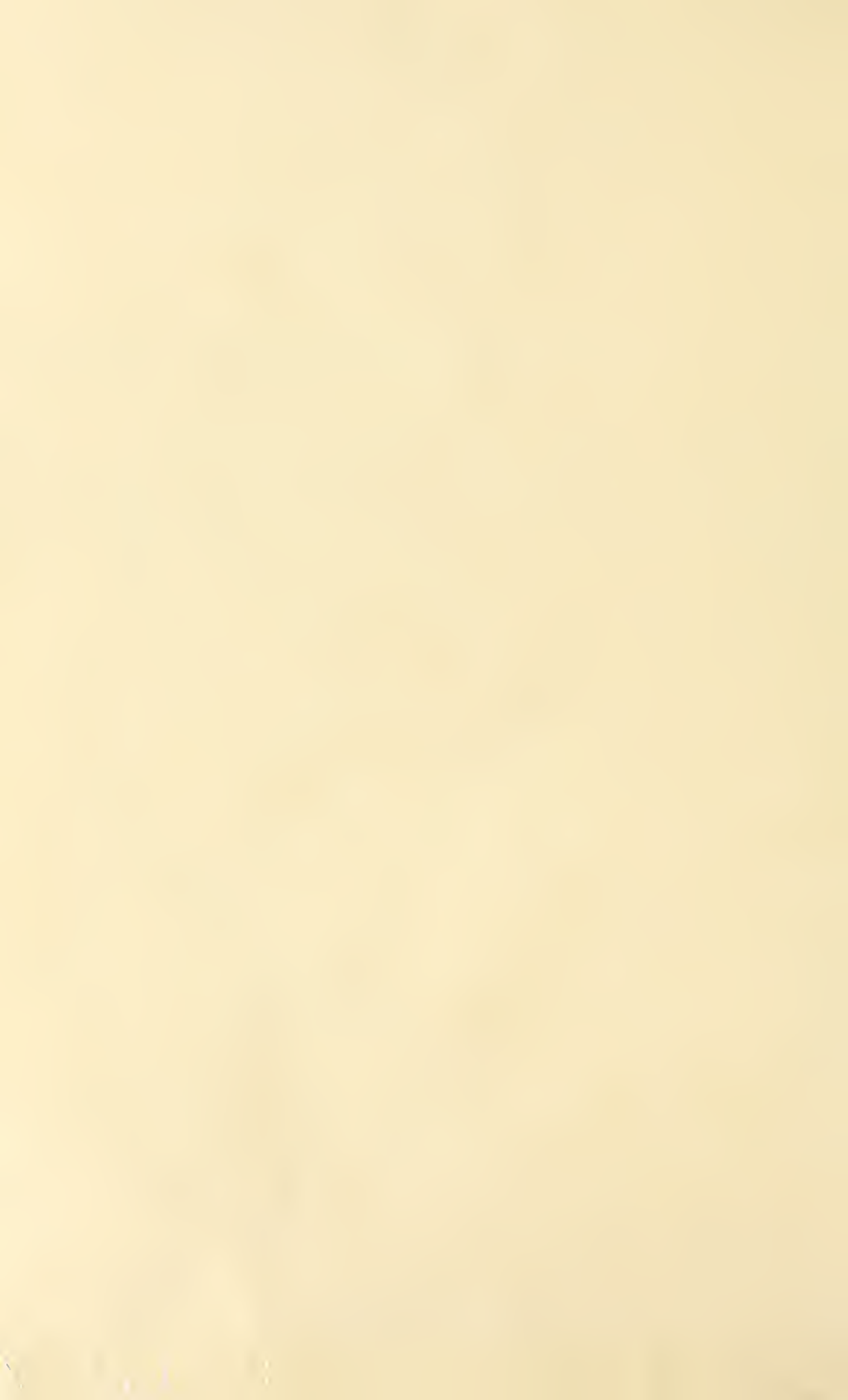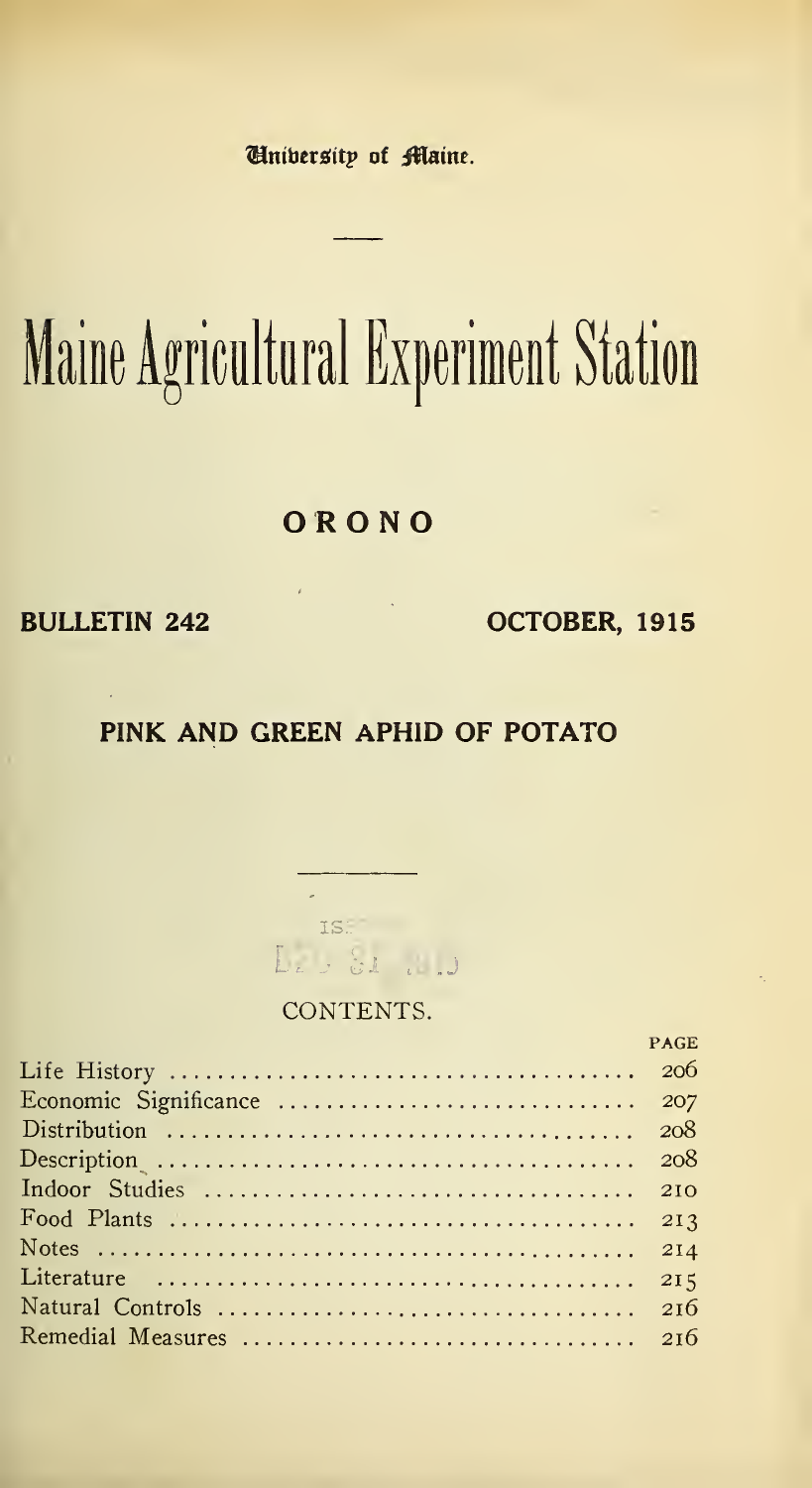Unibersity of **Maine**.

# Maine Agricultural Experiment Station

# O R O N O

# BULLETIN 242 OCTOBER, 1915

PAGE

# PINK AND GREEN APHID OF POTATO



# CONTENTS.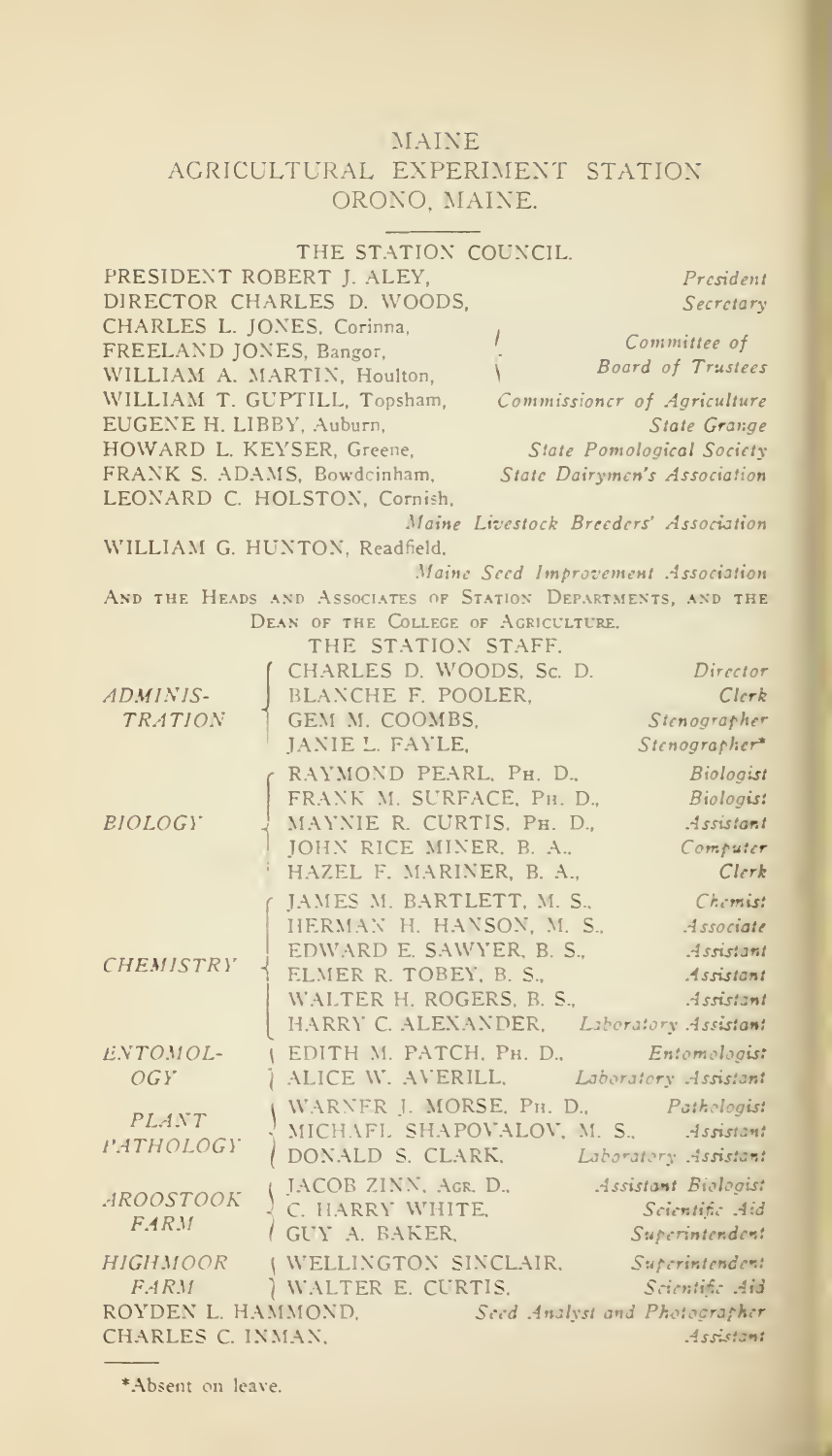# MAINE AGRICULTURAL EXPERIMENT STATION ORONO. MAINE.

# THE STATION COUNCIL.

| PRESIDENT ROBERT J. ALEY,<br>President                       |                                          |                                       |                     |  |
|--------------------------------------------------------------|------------------------------------------|---------------------------------------|---------------------|--|
| DIRECTOR CHARLES D. WOODS.<br>Secretary                      |                                          |                                       |                     |  |
| CHARLES L. JONES, Corinna,                                   |                                          |                                       |                     |  |
| FREELAND JONES, Bangor,                                      |                                          |                                       | Committee of        |  |
|                                                              | WILLIAM A. MARTIN, Houlton,              |                                       | Board of Trustees   |  |
| WILLIAM T. GUPTILL, Topsham, Commissioner of Agriculture     |                                          |                                       |                     |  |
| EUGENE H. LIBBY, Auburn,<br>State Grange                     |                                          |                                       |                     |  |
| HOWARD L. KEYSER, Greene,<br>State Pomological Society       |                                          |                                       |                     |  |
| FRANK S. ADAMS, Bowdcinham,<br>State Dairymen's Association  |                                          |                                       |                     |  |
| LEONARD C. HOLSTON, Cornish,                                 |                                          |                                       |                     |  |
|                                                              |                                          | Maine Livestock Breeders' Association |                     |  |
|                                                              | WILLIAM G. HUNTON, Readfield.            |                                       |                     |  |
| Maine Seed Improvement Association                           |                                          |                                       |                     |  |
| AND THE HEADS AND ASSOCIATES OF STATION DEPARTMENTS, AND THE |                                          |                                       |                     |  |
| DEAN OF THE COLLEGE OF AGRICULTURE.                          |                                          |                                       |                     |  |
|                                                              | THE STATION STAFF.                       |                                       |                     |  |
|                                                              | CHARLES D. WOODS, Sc. D.                 |                                       | Director            |  |
| ADMINIS-<br><b>TRATION</b>                                   | BLANCHE F. POOLER,                       |                                       | $C$ lerk            |  |
|                                                              | GEM M. COOMBS,                           |                                       | Stenographer        |  |
|                                                              | JANIE L. FAYLE,                          |                                       | Stenographer*       |  |
|                                                              | RAYMOND PEARL, PH. D.,                   |                                       | Biologist           |  |
|                                                              | FRANK M. SURFACE, PH. D.,                |                                       | Biologis:           |  |
| <b>EIOLOGY</b>                                               | MAYNIE R. CURTIS. PH. D.,                |                                       | Assistant           |  |
|                                                              | JOHN RICE MINER, B. A.,                  |                                       | Computer            |  |
| HAZEL F. MARINER, B. A.,<br>$C$ lerk                         |                                          |                                       |                     |  |
|                                                              | JAMES M. BARTLETT, M. S.,                |                                       | Chemist             |  |
|                                                              | HERMAN H. HANSON, M. S.,                 |                                       | Associate           |  |
| <b>CHEMISTRY</b>                                             | EDWARD E. SAWYER, B. S.,                 |                                       | Assistant           |  |
|                                                              | ELMER R. TOBEY, B. S.,                   |                                       | Assistant           |  |
|                                                              | WALTER H. ROGERS, B. S.,                 |                                       | Assistant           |  |
|                                                              | HARRY C. ALEXANDER, Laboratory Assistant |                                       |                     |  |
| ENTOMOL-                                                     | EDITH M. PATCH, PH. D., Entomologist     |                                       |                     |  |
| OGY                                                          | ALICE W. AVERILL. Laboratory Assistant   |                                       |                     |  |
| <b>PLANT</b>                                                 | WARNER J. MORSE, PH. D., Pathologist     |                                       |                     |  |
| PATHOLOGY                                                    | MICHAFL SHAPOVALOV, M. S., Assistant     |                                       |                     |  |
|                                                              | DONALD S. CLARK. Laboratory Assistant    |                                       |                     |  |
| AROOSTOOK                                                    | IACOB ZINN, AGR. D.,                     |                                       | Assistant Biologist |  |
| F.ARM                                                        | C. HARRY WHITE,                          |                                       | Scientific Aid      |  |
|                                                              | GUY A. BAKER.                            |                                       | Superintendent      |  |
| <b>HIGHMOOR</b>                                              | WELLINGTON SINCLAIR.                     |                                       | Superintenden:      |  |
| F.4RM                                                        | WALTER E. CURTIS.                        |                                       | Scientific Aid      |  |
| ROYDEN L. HAMMOND.<br>Seed Analyst and Photographer          |                                          |                                       |                     |  |
| CHARLES C. INMAN.                                            |                                          |                                       | Assistant           |  |

\*Absent on leave.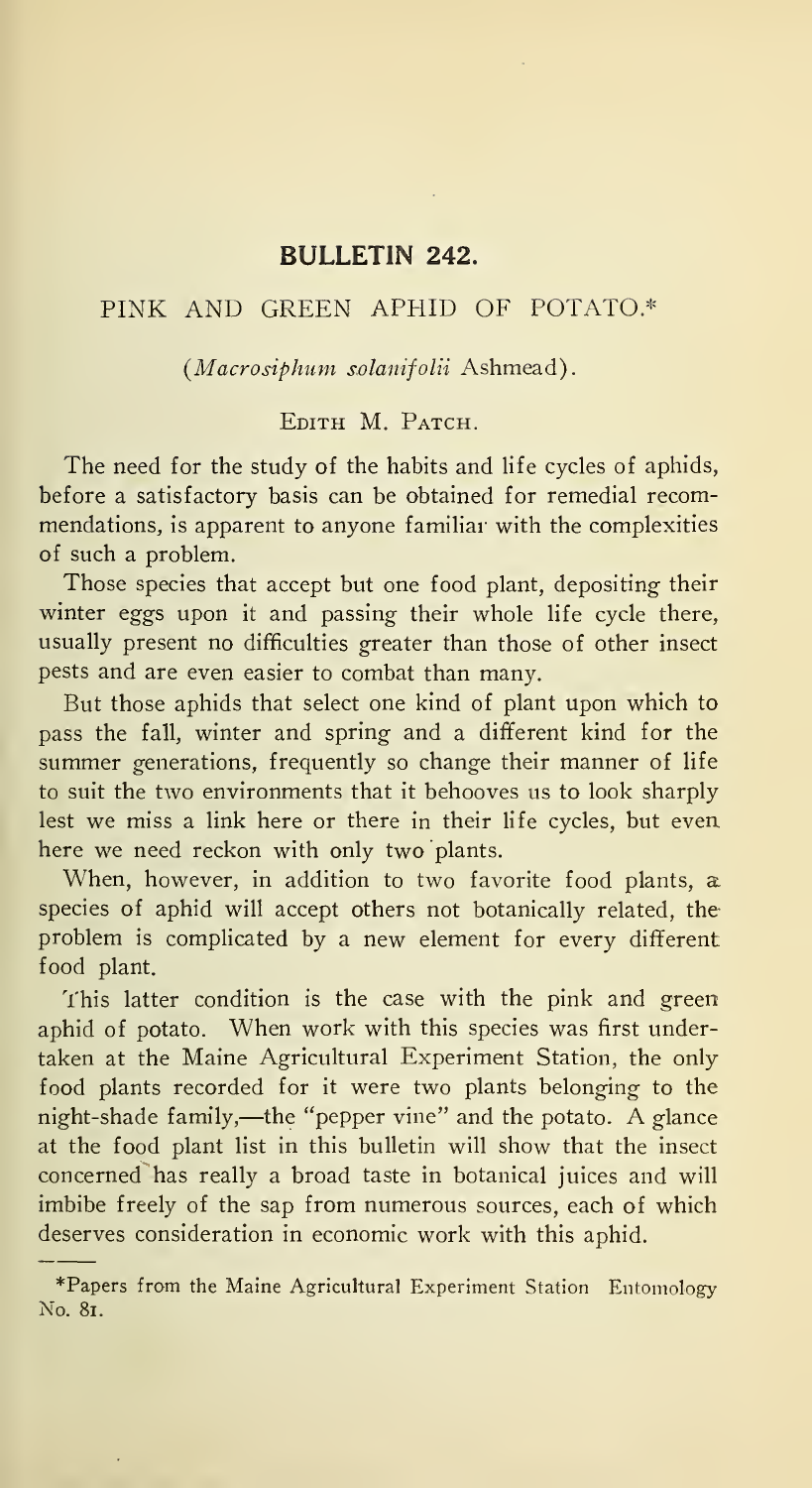# BULLETIN 242.

# PINK AND GREEN APHID OF POTATO\*

(Macrosiphum solanifolii Ashmead).

# Edith M. Patch.

The need for the study of the habits and life cycles of aphids, before a satisfactory basis can be obtained for remedial recommendations, is apparent to anyone familiar with the complexities of such a problem.

Those species that accept but one food plant, depositing their winter eggs upon it and passing their whole life cycle there, usually present no difficulties greater than those of other insect pests and are even easier to combat than many.

But those aphids that select one kind of plant upon which to pass the fall, winter and spring and a different kind for the summer generations, frequently so change their manner of life to suit the two environments that it behooves us to look sharply lest we miss a link here or there in their life cycles, but even here we need reckon with only two plants.

When, however, in addition to two favorite food plants, a species of aphid will accept others not botanically related, the problem is complicated by a new element for every different food plant.

This latter condition is the case with the pink and green aphid of potato. When work with this species was first undertaken at the Maine Agricultural Experiment Station, the only food plants recorded for it were two plants belonging to the night-shade family,—the "pepper vine" and the potato. A glance at the food plant list in this bulletin will show that the insect concerned has really a broad taste in botanical juices and will imbibe freely of the sap from numerous sources, each of which deserves consideration in economic work with this aphid.

<sup>\*</sup>Papers from the Maine Agricultural Experiment Station Entomology No. 8i.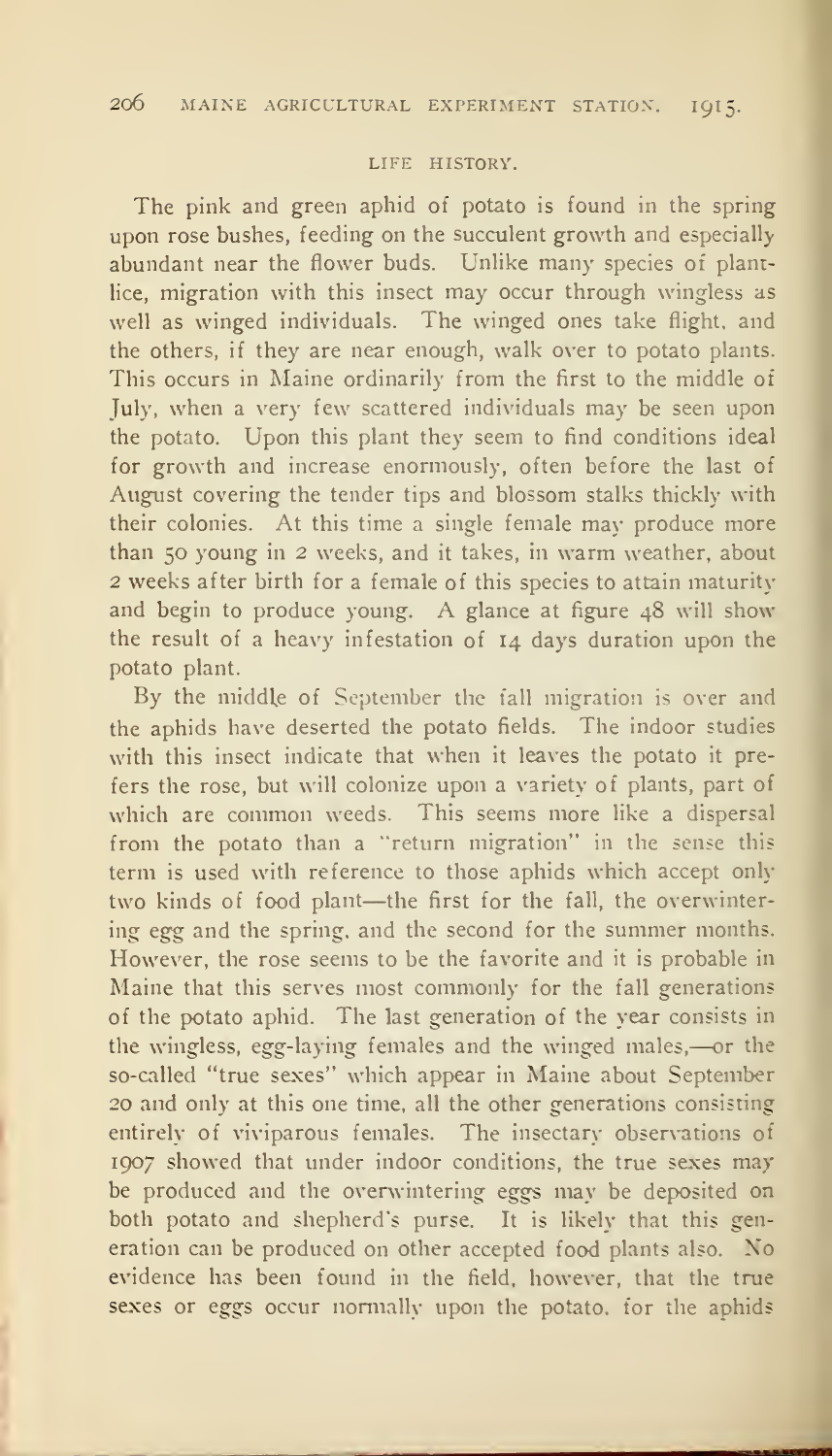#### LIFE HISTORY.

The pink and green aphid of potato is found in the spring upon rose bushes, feeding on the succulent growth and especiallyabundant near the flower buds. Unlike many species of planthce, migration with this insect may occur through wingless as well as winged individuals. The winged ones take flight, and the others, if they are near enough, walk over to potato plants. This occurs in Maine ordinarily from the first to the middle of July, when a very few scattered individuals may be seen upon the potato. Upon this plant they seem to find conditions ideal for growth and increase enormously, often before the last of August covering the tender tips and blossom stalks thickly with their colonies. At this time a single female may produce more than 50 young in <sup>2</sup> weeks, and it takes, in warm weather, about 2 weeks after birth for a female of this species to attain maturity and begin to produce young. A glance at figure <sup>48</sup> will show the result of a heavy infestation of 14 days duration upon the potato plant.

By the middle of September the fall migration is over and the aphids have deserted the potato fields. The indoor studies with this insect indicate that when it leaves the potato it prefers the rose, but will colonize upon a variety of plants, part of which are common weeds. This seems more like a dispersal from the potato than a "return migration" in the sense this term is used with reference to those aphids which accept only two kinds of food plant—the first for the fall, the overwintering egg and the spring, and the second for the summer months. However, the rose seems to be the favorite and it is probable in Maine that this serves most commonly for the fall generations of the potato aphid. The last generation of the year consists in the wingless, egg-laying females and the winged males.—or the so-called "true sexes" which appear in Maine about September 20 and only at this one time, all the other generations consisting entirely of viviparous females. The insectary observations of 1907 showed that under indoor conditions, the true sexes may be produced and the overwintering eggs may be deposited on both potato and shepherd's purse. It is likely that this generation can be produced on other accepted food plants also. No evidence has been found in the field, however, that the true sexes or eggs occur normally upon the potato, for the aphids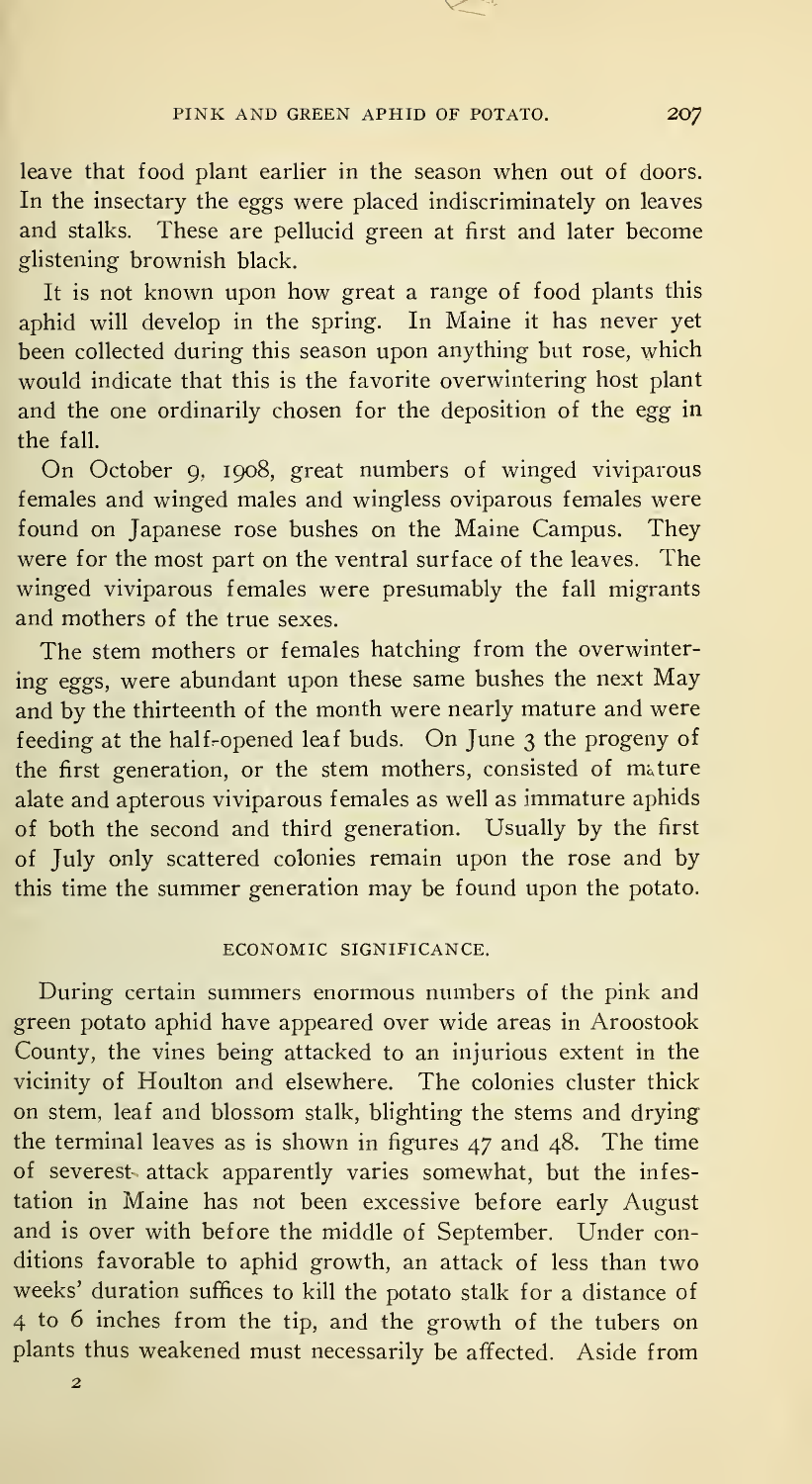leave that food plant earlier in the season when out of doors. In the insectary the eggs were placed indiscriminately on leaves and stalks. These are pellucid green at first and later become glistening brownish black.

It is not known upon how great a range of food plants this aphid will develop in the spring. In Maine it has never yet been collected during this season upon anything but rose, which would indicate that this is the favorite overwintering host plant and the one ordinarily chosen for the deposition of the egg in the fall.

On October 9, 1908, great numbers of winged viviparous females and winged males and wingless oviparous females were found on Japanese rose bushes on the Maine Campus. They were for the most part on the ventral surface of the leaves. The winged viviparous females were presumably the fall migrants and mothers of the true sexes.

The stem mothers or females hatching from the overwintering eggs, were abundant upon these same bushes the next May and by the thirteenth of the month were nearly mature and were feeding at the half-opened leaf buds. On June 3 the progeny of the first generation, or the stem mothers, consisted of mature alate and apterous viviparous females as well as immature aphids of both the second and third generation. Usually by the first of July only scattered colonies remain upon the rose and by this time the summer generation may be found upon the potato.

#### ECONOMIC SIGNIFICANCE.

During certain summers enormous numbers of the pink and green potato aphid have appeared over wide areas in Aroostook County, the vines being attacked to an injurious extent in the vicinity of Houlton and elsewhere. The colonies cluster thick on stem, leaf and blossom stalk, blighting the stems and drying the terminal leaves as is shown in figures 47 and 48. The time of severest attack apparently varies somewhat, but the infestation in Maine has not been excessive before early August and is over with before the middle of September. Under conditions favorable to aphid growth, an attack of less than two weeks' duration suffices to kill the potato stalk for a distance of 4 to 6 inches from the tip, and the growth of the tubers on plants thus weakened must necessarily be affected. Aside from

 $\mathcal{L}$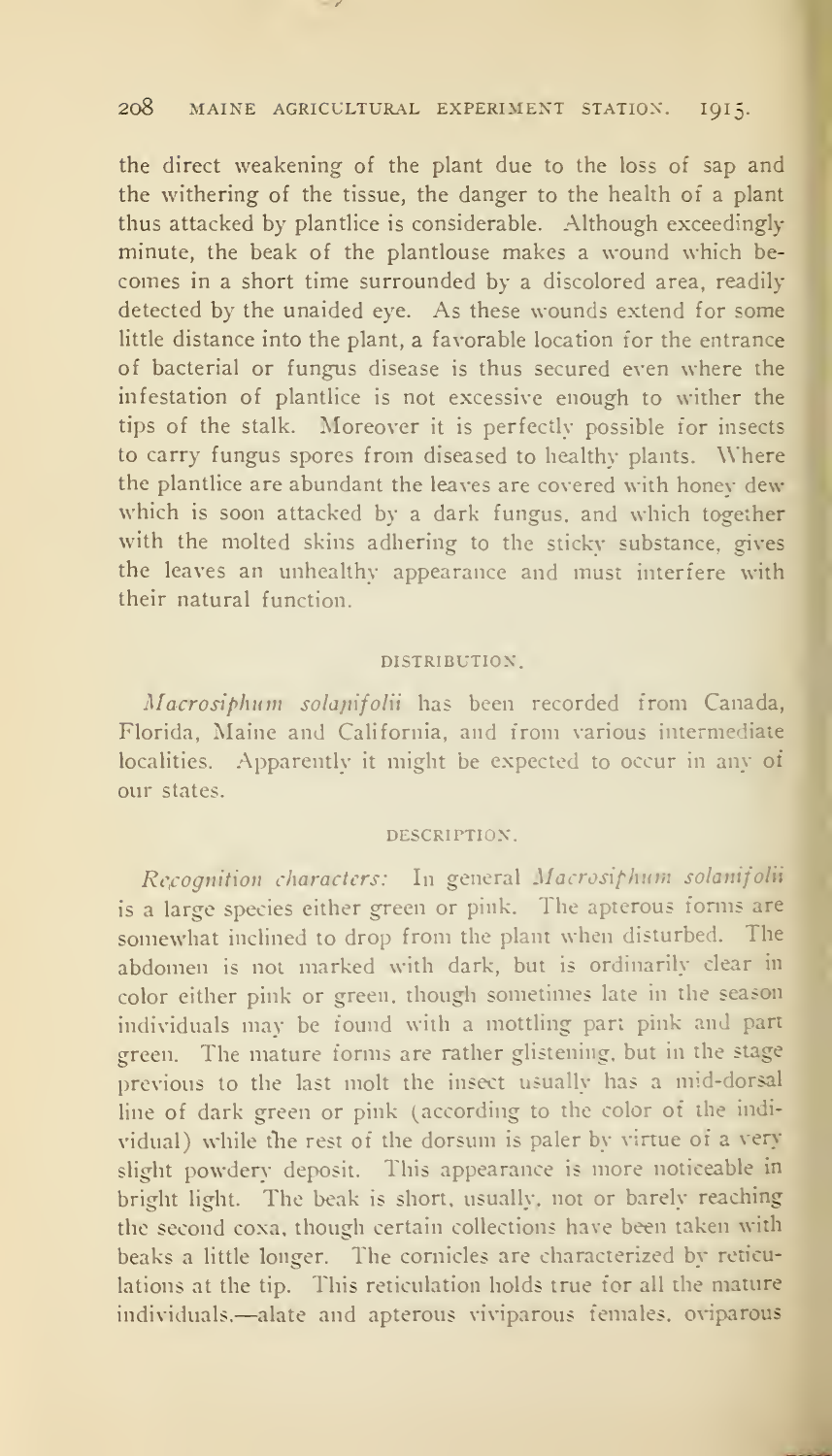### 208 MAINE AGRICULTURAL EXPERIMENT STATION. IQI5.

the direct weakening of the plant due to the loss of sap and the withering of the tissue, the danger to the health of a plant thus attacked by plantlice is considerable. Although exceedingly minute, the beak of the plantlouse makes a wound which becomes in a short time surrounded by a discolored area, readily detected by the unaided eye. As these wounds extend for some little distance into the plant, a favorable location for the entrance of bacterial or fungus disease is thus secured even where the infestation of plantlice is not excessive enough to wither the tips of the stalk. Moreover it is perfectly possible for insects to carry fungus spores from diseased to healthy plants. Where the plantlice are abundant the leaves are covered with honey dew which is soon attacked by a dark fungus, and which together with the molted skins adhering to the sticky substance, gives the leaves an unhealthy appearance and must interfere with their natural function.

#### DISTRIBUTION.

Macrosiphum solanifolii has been recorded from Canada, Florida, Maine and California, and from various intermediate localities. Apparently it might be expected to occur in any of our states.

#### DESCRIPTION.

Recognition characters: In general Macrosiphum solanijolii is <sup>a</sup> large species either green or pink. The apterous forms are somewhat inclined to drop from the plant when disturbed. The abdomen is not marked with dark, but is ordinarily clear in color either pink or green, though sometimes late in the season individuals may be found with a mottling part pink and part green. The mature forms are rather glistening, but in the stage previous to the last molt the insect usually has a mid-dorsal line of dark green or pink (according to the color of the individual) while the rest of the dorsum is paler by virtue of a veryslight powdery deposit. This appearance is more noticeable in bright light. The beak is short, usually, not or barely reaching the second coxa, though certain collections have been taken with beaks a little longer. The cornicles are characterized by reticulations at the tip. This reticulation holds true for all the mature individuals,—alate and apterous viviparous females, oviparous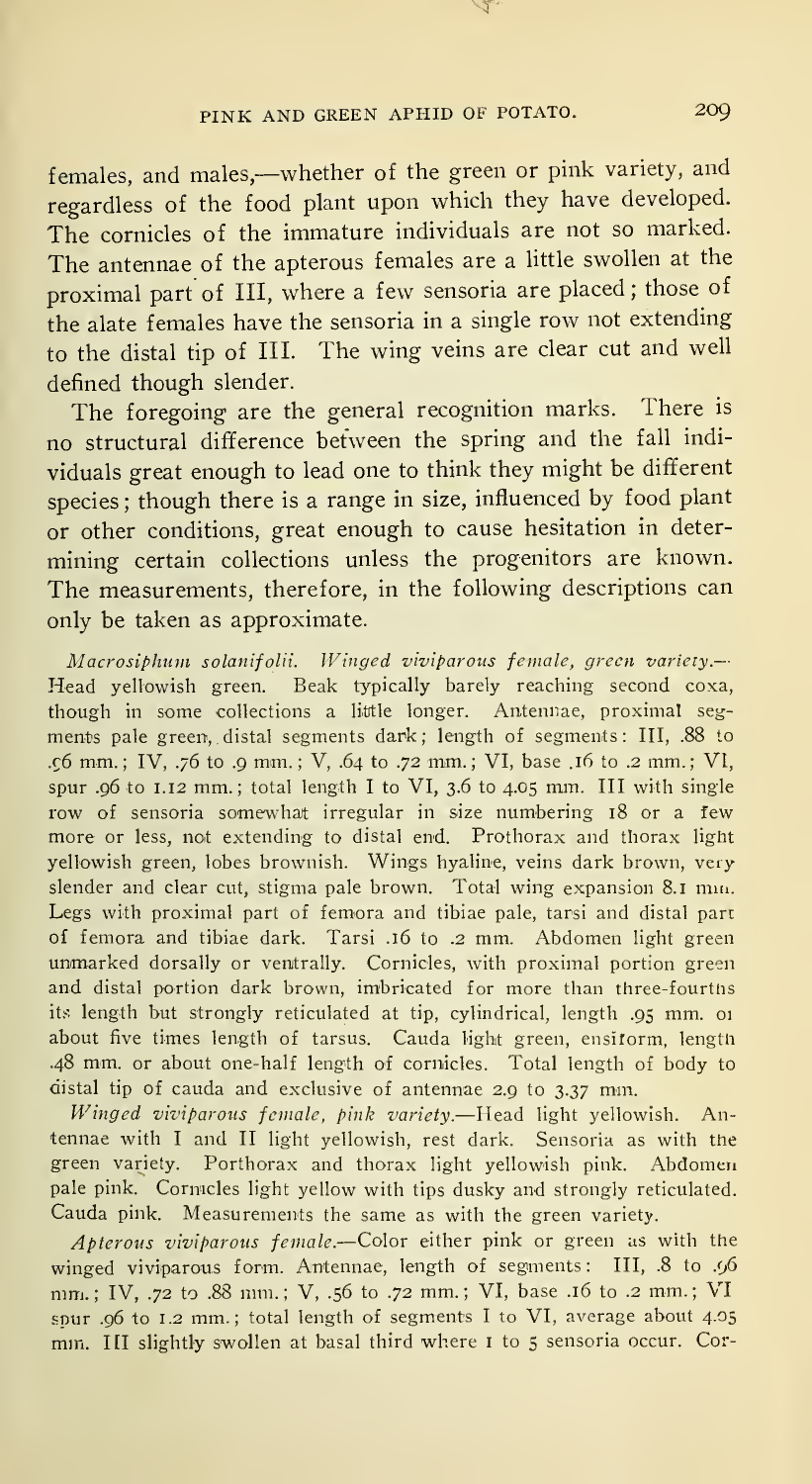females, and males,—whether of the green or pink variety, and regardless of the food plant upon which they have developed. The cornicles of the immature individuals are not so marked. The antennae of the apterous females are <sup>a</sup> little swollen at the proximal part of III, where <sup>a</sup> few sensoria are placed ; those of the alate females have the sensoria in <sup>a</sup> single row not extending to the distal tip of III. The wing veins are clear cut and well defined though slender.

The foregoing are the general recognition marks. There is no structural difference between the spring and the fall individuals great enough to lead one to think they might be different species ; though there is a range in size, influenced by food plant or other conditions, great enough to cause hesitation in determining certain collections unless the progenitors are known. The measurements, therefore, in the following descriptions can only be taken as approximate.

Macrosiphum solanifolii. Winged viviparous female, green variety.-Head yellowish green. Beak typically barely reaching second coxa, though in some collections a lititle longer. Antennae, proximal seg ments pale green, distal segments dark; length of segments: III, .88 to .66 mm. ; IV, .76 to .9 mm. ; V, .64 to .72 mm. ; VI, base .16 to .2 mm. ; VI, spur .96 to 1. <sup>12</sup> mm. ; total length <sup>I</sup> to VI, 3.6 to 4.05 mm. Ill with single row of sensoria somewhat irregular in size numbering 18 or a few more or less, not extending to distal end. Prothorax and thorax light yellowish green, lobes brownish. Wings hyaline, veins dark brown, very slender and clear cut, stigma pale brown. Total wing expansion 8.1 mm. Legs with proximal part of femora and tibiae pale, tarsi and distal pari of femora and tibiae dark. Tarsi .16 to .2 mm. Abdomen light green unmarked dorsally or ventrally. Cornicles, with proximal portion green and distal portion dark brown, imbricated for more than three-fourths it^- length but strongly reticulated at tip, cylindrical, length .95 mm. or about five times length of tarsus. Cauda light green, ensitorm, length .48 mm. or about one-half length of cornicles. Total length of body to distal tip of cauda and exclusive of antennae 2.9 to 3.37 mm.

Winged viviparous female, pink variety.—Head light yellowish. Antennae with <sup>I</sup> and II light yellowish, rest dark. Sensoria as with the green variety, Porthorax and thorax light yellowish pink. Abdomen pale pink. Cornicles light yellow with tips dusky and strongly reticulated. Cauda pink. Measurements the same as with the green variety.

Apterous viviparous female.—Color either pink or green as with the winged viviparous form. Antennae, length of segments: III, .8 to .96 mm.; IV, .72 to .88 mm.; V, .56 to .72 mm.; VI, base .16 to .2 mm.; VI .spur .96 to 1.2 mm.; total length of segments <sup>I</sup> to VI, average about 4.05 mm. HI slightly swollen at basal third where <sup>i</sup> to <sup>5</sup> sensoria occur. Cor-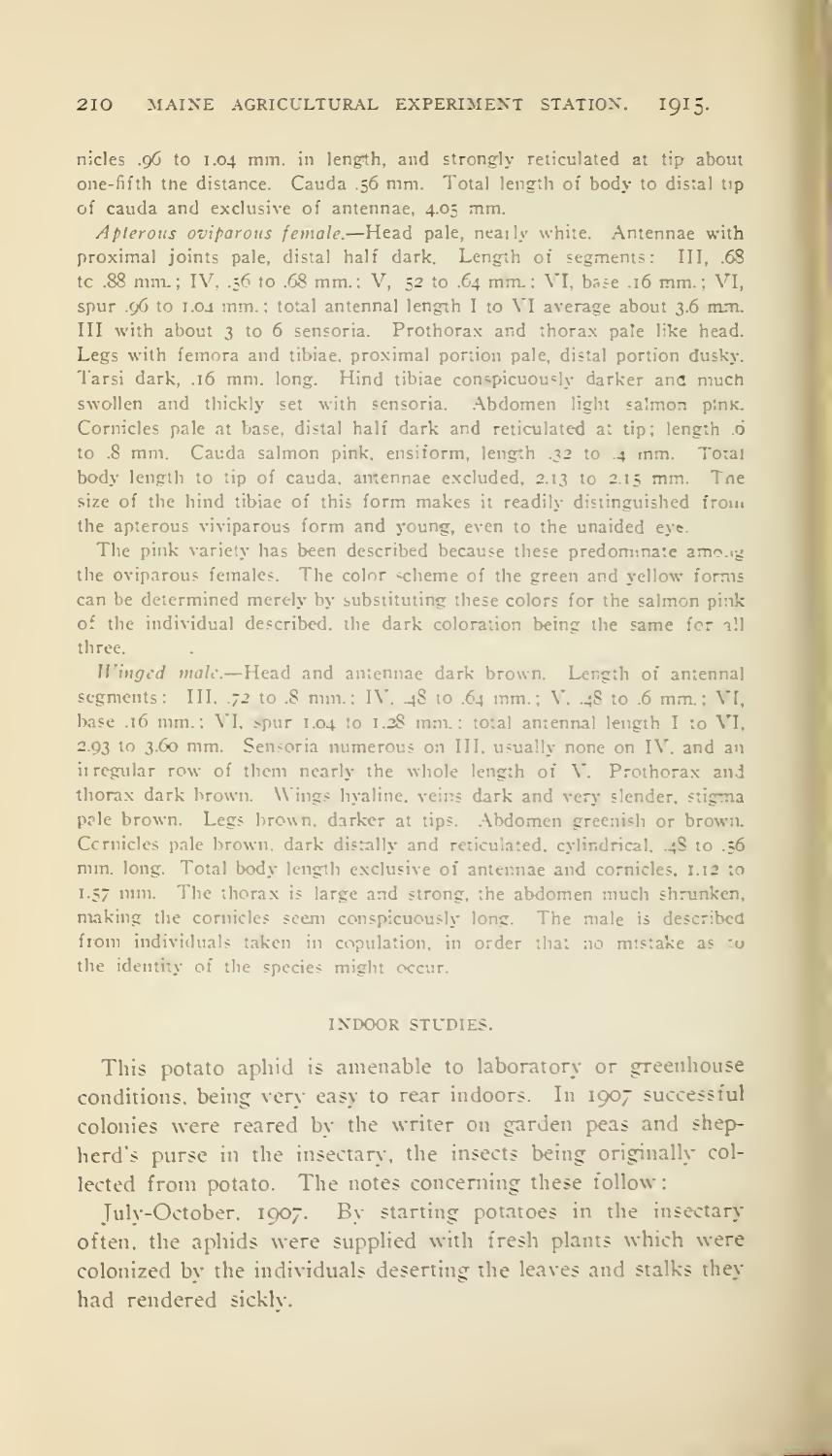#### 2IO MAINE AGRICULTURAL EXPERIMENT STATION. I915.

nicies .96 to 1.04 mm. in length, and strongly reticulated at tip about one-fifth tne distance. Cauda .56 mm. Total length of body to distal tip of Cauda and exclusive of antennae, 4.05 mm.

Apterous oviparous female.—Head pale, neaily white. Antennae with proximal joints pale, distal half dark. Length of segments: III, .68 tc .88 mm.; IV, .56 to .68 mm.; V, 52 to .64 mm.; VI, base .16 mm.; VI, spur .96 to 1.04 mm.; total antennal length I to VI average about 3.6 mm. III with about 3 to 6 sensoria. Prothorax and thorax pale like head. Legs with femora and tibiae, proximal portion pale, distal portion dusky. Tarsi dark, .16 mm. long. Hind tibiae conspicuously darker and much swollen and thickly set with sensoria. Abdomen light salmon pink. Cornicles pale at base, distal half dark and reticulated at tip; length .6 to .8 mm. Cauda salmon pink, ensiform, length .32 to .4 mm. Total body length to tip of cauda, antennae excluded, 2.13 to 2.15 mm. Tne size of the hind tibiae of this form makes it readily distinguished from the apterous viviparous form and young, even to the unaided eye.

The pink variety has been described because these predominate amo.ig the oviparous females. The color scheme of the green and yellow forms can be determined merely by substituting these colors for the salmon pink of the individual described, the dark coloration being the same for all three.

IVingcd male.—Head and antennae dark brown. Length of antennal segments: III, .72 to .8 mm.; IV, .48 to .64 mm.; V, .48 to .6 mm.; VI, base .16 mm.; VI, spur 1.04 to 1.26 mm.; total amennal length <sup>I</sup> to VI, <sup>2</sup> 93 to <sup>3</sup> 60 mm. Sensoria numerous on III. usually none on FV, and an irregular row of them nearly the whole length of V. Prothorax and thorax dark brown. Wings hyaline, veins dark and very slender, stigma pale brown. Legs brown, darker at tips. Abdomen greenish or brown. Ccrniclcs pale brown, dark distally and reticulated, cylindrical, -48 to .56 mm. long. Total body length exclusive of antennae and cornicles, 1.12 to 1.57 mm. The thorax is large and strong, the abdomen much shrunken, making the cornicles seem conspicuously long. The male is described from individuals taken in copulation, in order that no mistake as to the identity of the species might occur.

#### INDOOR STUDIES.

This potato aphid is amenable to laboratory or greenhouse conditions, being very easy to rear indoors. In 1907 successful colonies were reared by the writer on garden peas and shepherd's purse in the insectary, the insects being originally collected from potato. The notes concerning these follow:

July-October, 1907. By starting potatoes in the insectary often, the aphids were supplied with fresh plants which were colonized by the individuals deserting the leaves and stalks they had rendered sickly.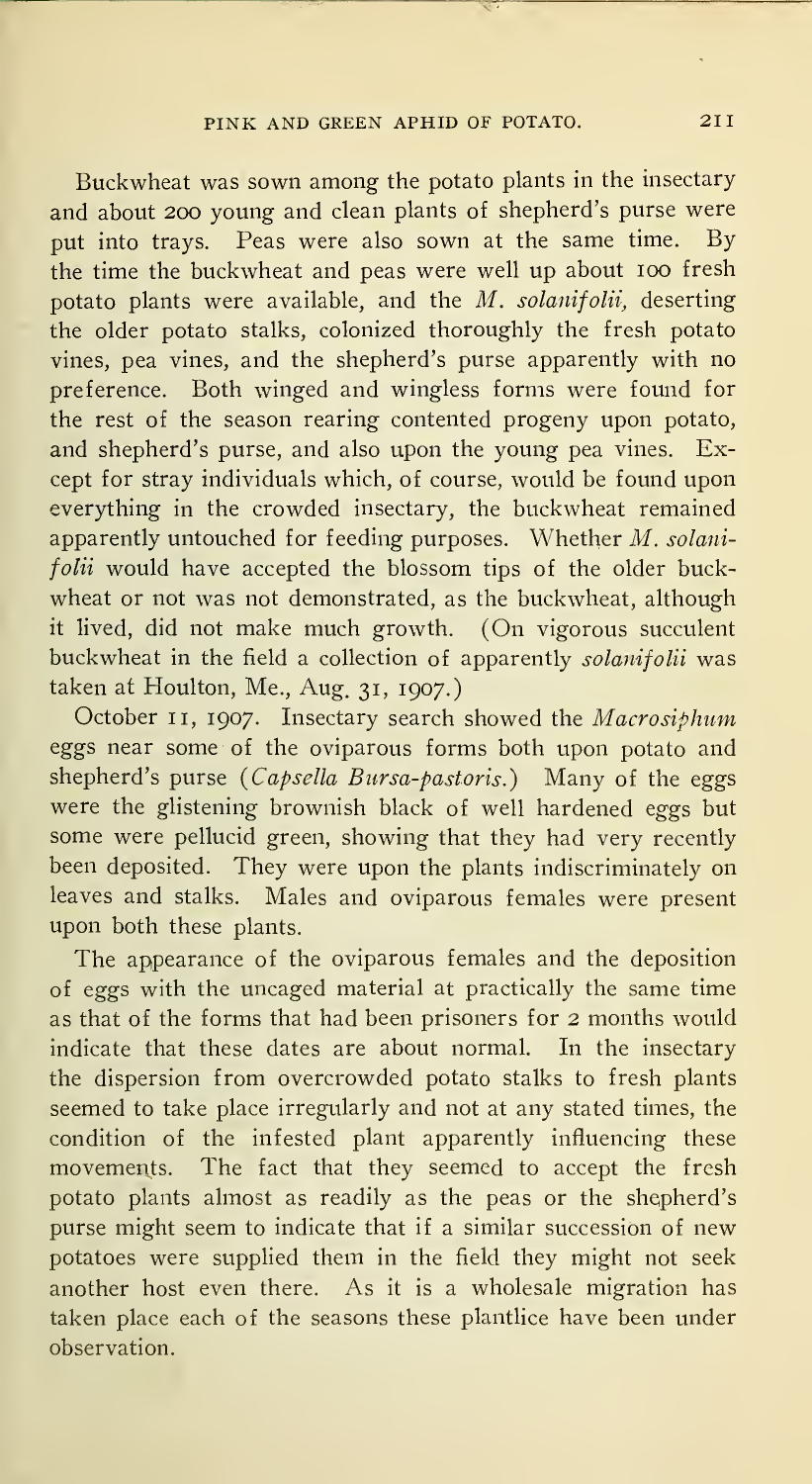#### PINK AND GREEN APHID OF POTATO. 211

Buckwheat was sown among the potato plants in the insectary and about 200 young and clean plants of shepherd's purse were put into trays. Peas were also sown at the same time. By the time the buckwheat and peas were well up about 100 fresh potato plants were available, and the  $M$ . solanifolii, deserting the older potato stalks, colonized thoroughly the fresh potato vines, pea vines, and the shepherd's purse apparently with no preference. Both winged and wingless forms were found for the rest of the season rearing contented progeny upon potato, and shepherd's purse, and also upon the young pea vines. Except for stray individuals which, of course, would be found upon everything in the crowded insectary, the buckwheat remained apparently untouched for feeding purposes. Whether M. solanifolii would have accepted the blossom tips of the older buckwheat or not was not demonstrated, as the buckwheat, although it lived, did not make much growth. (On vigorous succulent buckwheat in the field a collection of apparently *solanifolii* was taken at Houlton, Me., Aug. 31, 1907.)

October 11, 1907. Insectary search showed the Macrosiphum eggs near some of the oviparous forms both upon potato and shepherd's purse (Capsella Bursa-pastoris.) Many of the eggs were the glistening brownish black of well hardened eggs but some were pellucid green, showing that they had very recently been deposited. They were upon the plants indiscriminately on leaves and stalks. Males and oviparous females were present upon both these plants.

The appearance of the oviparous females and the deposition of eggs with the uncaged material at practically the same time as that of the forms that had been prisoners for 2 months would indicate that these dates are about normal. In the insectary the dispersion from overcrowded potato stalks to fresh plants seemed to take place irregularly and not at any stated times, the condition of the infested plant apparently influencing these movements. The fact that they seemed to accept the fresh potato plants almost as readily as the peas or the shepherd's purse might seem to indicate that if a similar succession of new potatoes were supplied them in the field they might not seek another host even there. As it is a wholesale migration has taken place each of the seasons these plantlice have been under observation.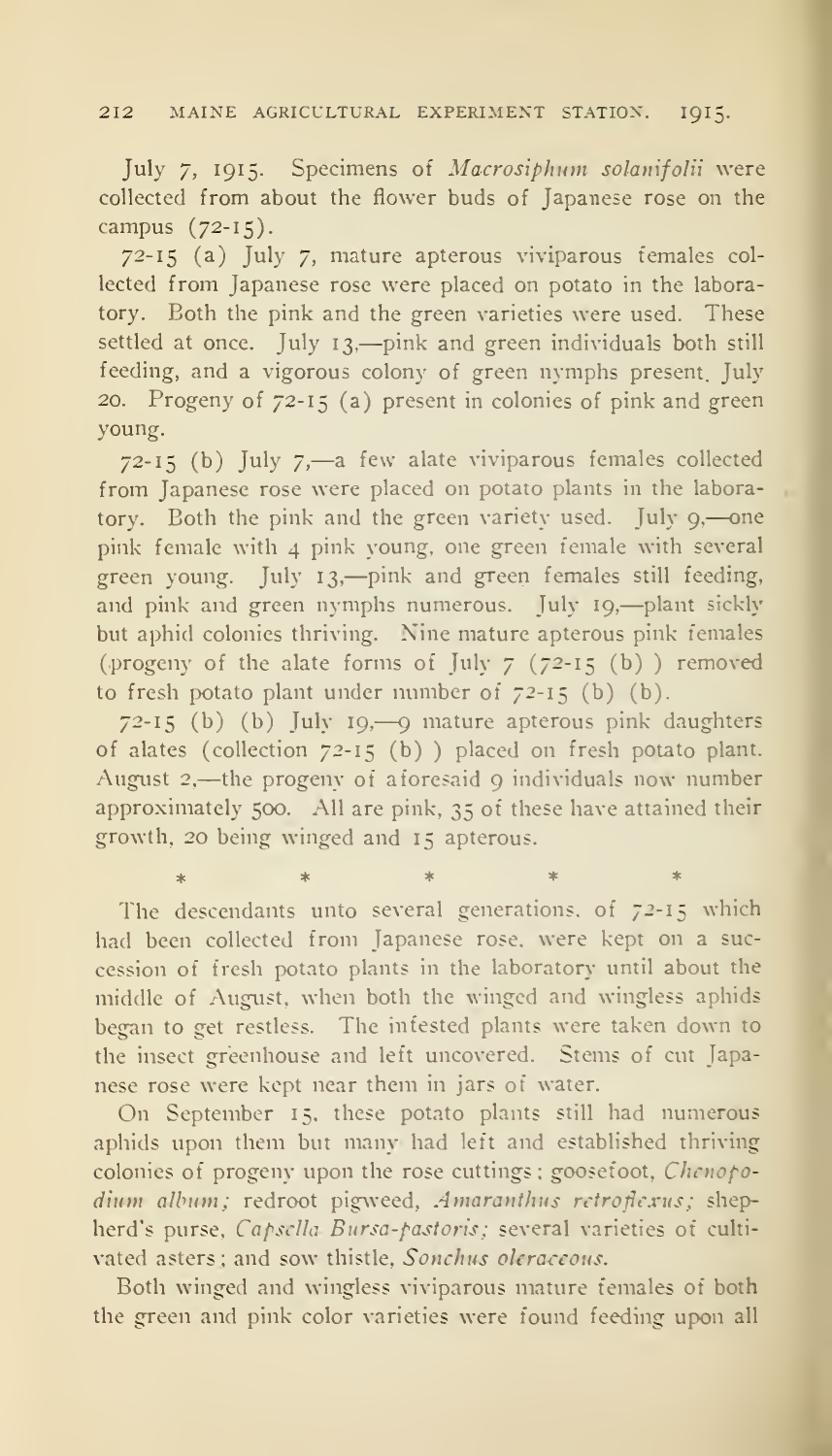July 7, 1915. Specimens of Macrosiphum solanifolii were collected from about the flower buds of Japanese rose on the campus (72-15).

72-15 (a) July 7, mature apterous viviparous females collected from Japanese rose were placed on potato in the laboratory. Both the pink and the green varieties were used. These settled at once. July 13,—pink and green individuals both still feeding, and a vigorous colony of green nymphs present. July 20. Progeny of 72-15 (a) present in colonies of pink and green young.

72-15 (b) July 7,—<sup>a</sup> few alate viviparous females collected from Japanese rose were placed on potato plants in the laboratory. Both the pink and the green variety used. July 9,-one pink female with 4 pink young, one green female with several green young. July 13,—pink and green females still feeding, and pink and green nymphs numerous. July 19,—plant sickly but aphid colonies thriving. Nine mature apterous pink females (progeny of the alate forms of July 7 (72-15 (b) ) removed to fresh potato plant under number of  $72-15$  (b) (b).

72-15 (b) (b) July 19,—<sup>9</sup> mature apterous pink daughters of alates (collection 72-15 (b) ) placed on fresh potato plant. August 2,—the progeny of aforesaid <sup>9</sup> individuals now number approximately 500. All are pink, 35 of these have attained their growth, 20 being winged and 15 apterous. growth, \*\*\*\*\* <sup>20</sup> being winged and <sup>15</sup> apterous. The descendants unto several generations, of 72-15 which

had been collected from Japanese rose, were kept on a succession of fresh potato plants in the laboratory until about the middle of August, when both the winged and wingless aphids began to get restless. The infested plants were taken down to the insect greenhouse and left uncovered. Stems of cut Japanese rose were kept near them in jars of water.

On September 15, these potato plants still had numerous aphids upon them but many had left and established thriving colonies of progeny upon the rose cuttings; goosefoot, Chenopodium album; redroot pigweed, Amaranthus retroflexus; shepherd's purse, Capsella Bursa-pastoris; several varieties of cultivated asters; and sow thistle, Sonchus oleraceous.

Both winged and wingless viviparous mature females of both the green and pink color varieties were found feeding upon all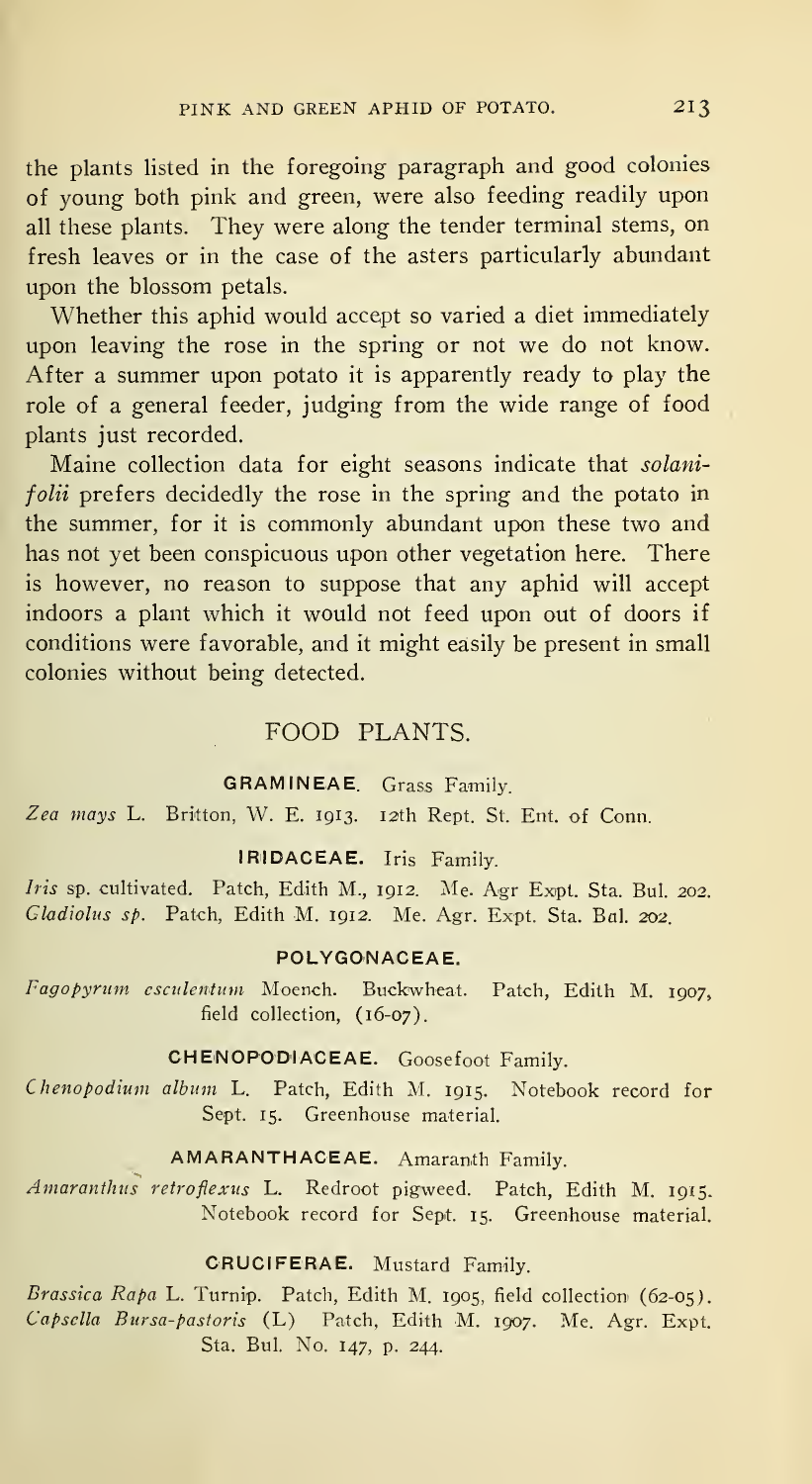the plants listed in the foregoing paragraph and good colonies of young both pink and green, were also feeding readily upon all these plants. They were along the tender terminal stems, on fresh leaves or in the case of the asters particularly abundant upon the blossom petals.

Whether this aphid would accept so varied a diet immediately upon leaving the rose in the spring or not we do not know. After a summer upon potato it is apparently ready to play the role of a general feeder, judging from the wide range of food plants just recorded.

Maine collection data for eight seasons indicate that solanifolii prefers decidedly the rose in the spring and the potato in the summer, for it is commonly abundant upon these two and has not yet been conspicuous upon other vegetation here. There is however, no reason to suppose that any aphid will accept indoors a plant which it would not feed upon out of doors if conditions were favorable, and it might easily be present in small colonies without being detected.

#### FOOD PLANTS.

#### GRAMINEAE. Grass Family.

Zea mays L. Britton, W. E. 1913. 12th Rept. St. Ent. of Conn.

#### IRIDACEAE. Iris Family.

Iris sp. cultivated. Patch, Edith M., 1912. Me. Agr Expt. Sta. Bul. 202. Gladiolus sp. Patch, Edith M. 1912. Me. Agr. Expt. Sta. Bal. 202.

#### POLYGONACEAE.

Fagopyrum esculentum Moench. Buckwheat. Patch, Edilh M. 1907, field collection, (16-07).

# CHENOPODIACEAE. Goosefoot Family.

Chenopodium album L. Patch, Edith M. 1915. Notebook record for Sept. 15. Greenhouse material.

# AMARANTHACEAE. Amaranth Family.

Amaranthus retroflexus L. Redroot pigweed. Patch, Edith M. 1915. Notebook record for Sept. 15. Greenhouse material.

#### CRUGIFERAE. Mustard Family.

Brassica Rapa L. Turnip. Patch, Edith M. 1905, field collection (62-05). Capsella Bursa-pastoris (L) Patch, Edith M. 1907. Me. Agr. Expt. Sta. Bui. No. 147, p. 244.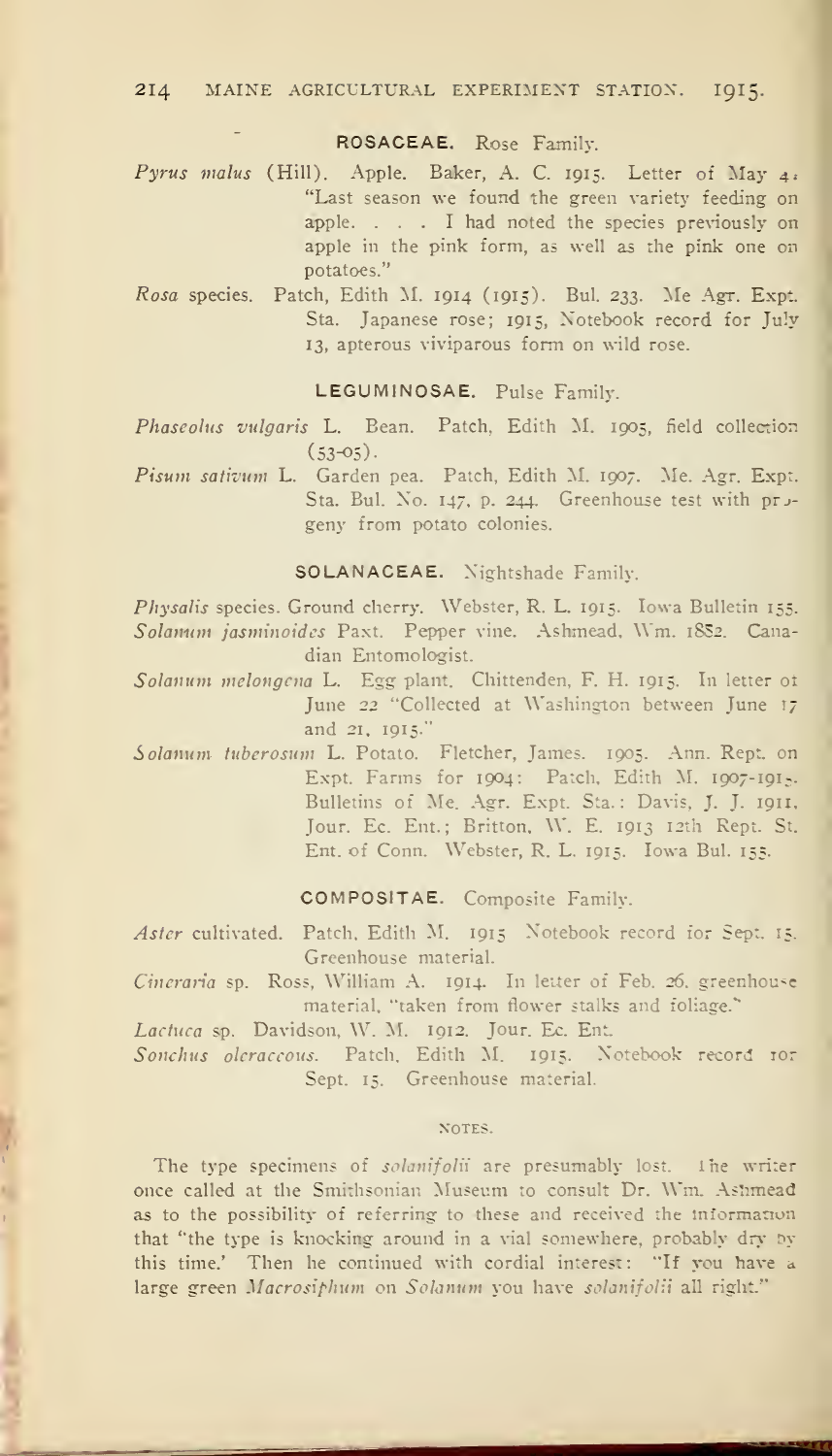#### ROSACEAE. Rose Family.

- Pyrus malus (Hill). Apple. Baker, A. C. 1915. Letter of May  $4$ . "Last season we found the green variety feeding on apple.  $\ldots$  . I had noted the species previously on apple in the pink form, as well as the pink one on potatoes."
- Rosa species. Patch, Edith M. <sup>1914</sup> (1915). Bui. 233. Me Agr. Expt. Sta. Japanese rose; 1915, Notebook record for July 13, apterous viviparous form on wild rose.

#### LEGUMINOSAE. Pulse Family.

Phaseolus vulgaris L. Bean. Patch, Edith M. 1905, field collection  $(53-05)$ .

Pisum sativum L. Garden pea. Patch, Edith M. 1907. Me. Agr. Expt. Sta. Bul. No. 147, p. 244. Greenhouse test with prugeny from potato colonies.

### SOLANACEAE. Nightshade Family.

Physalis species. Ground cherry. Webster, R. L. 1915. Iowa Bulletin 155. Solamum jasminoides Paxt. Pepper vine. Ashmead. Wm. 1852. Canadian Entomologist.

- Solanum melongena L. Egg plant. Chittenden, F. H. 1915. In letter ot June 22 "Collected at Washington between June 17 and 21, 1915."
- Solanum tuberosum L. Potato. Fletcher, James. 1905. Ann. Rept. on Expt. Farms for 1904: Patch, Edith M. 1907-1915. Bulletins of Me. Agr. Expt. Sta.: Davis, J. J. 1911, Jour. Ec. Ent.; Britton, W. E. 1913 12th Rept. St. Ent. of Conn. Webster, R. L. 1915. Iowa Bui. 155.

#### COMPOSITAE. Composite Family.

- Aster cultivated. Patch, Edith M. 1915 Notebook record for Sept. 15. Greenhouse material.
- Cineraria sp. Ross, William A. 1914. In letter of Feb. 26. greenhouse material, "taken from flower stalks and foliage."

Lactuca sp. Davidson, W. M. 1912. Jour. Ec. Ent.

Sonchus oleraceous. Patch, Edith M. 1915. Notebook record 107 Sept. 15. Greenhouse material.

#### NOTES.

The type specimens of solanifolii are presumably lost. The writer once called at the Smithsonian Museum to consult Dr. Wm. Ashmead as to the possibility of referring to these and received the information that "the type is knocking around in a vial somewhere, probably dry by this time.' Then he continued with cordial interest: "If you have a large green Macrosiphum on Solanum you have solanifolii all right."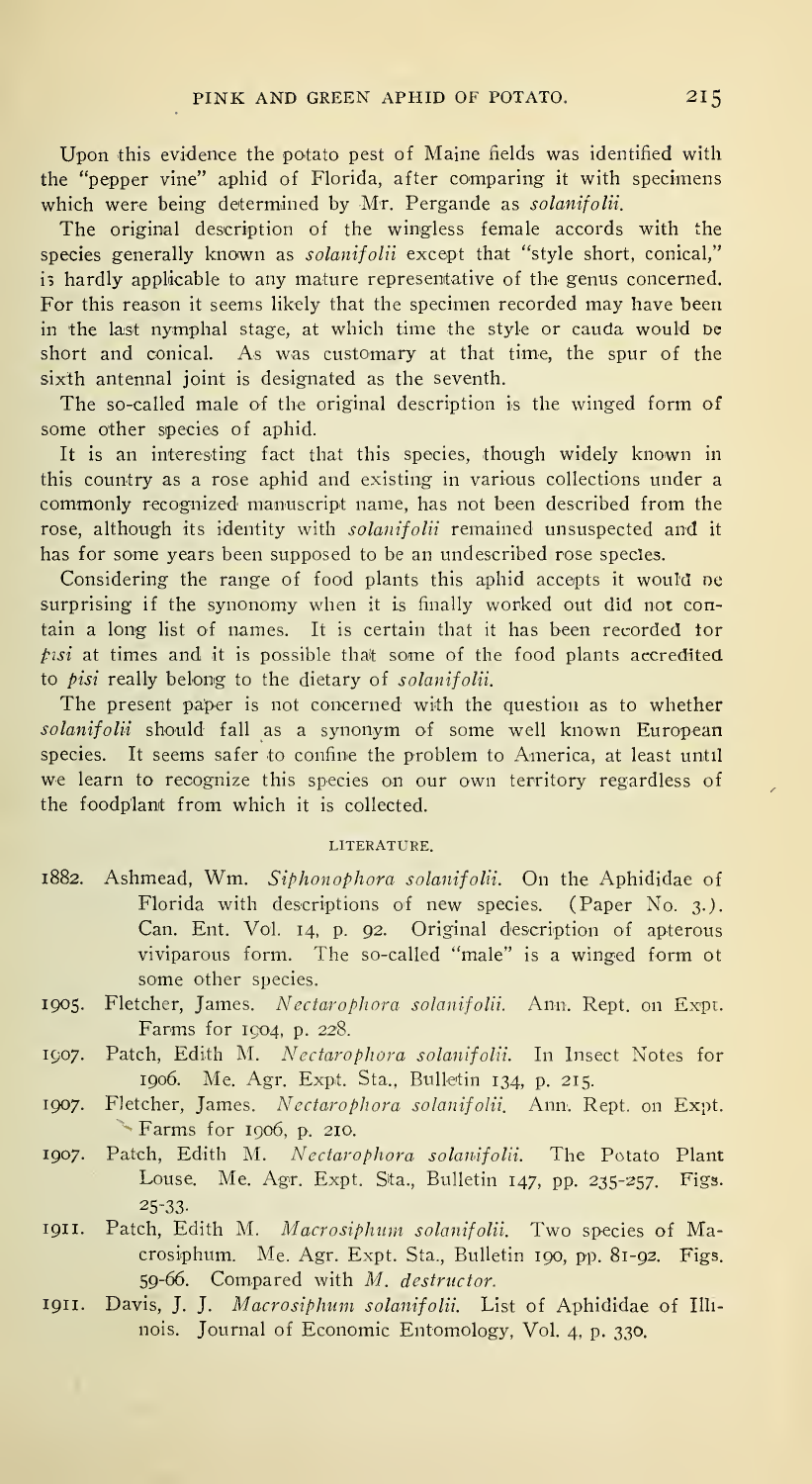Upon this evidence the potato pest of Maine fields was identified with the "pepper vine" aphid of Florida, after comparing it with specimens which were being determined by Mr. Pergande as solanifolii.

The original description of the wingless female accords with the species generally known as *solanifolii* except that "style short, conical," is hardly applicable to any mature representative of the genus concerned. For this reason it seems likely that the specimen recorded may have been in the last nymphal stage, at which time the style or cauda would De short and conical. As was customary at that time, the spur of the sixth antennal joint is designated as the seventh.

The so-called male of the original description is the winged form of some other species of aphid.

It is an interesting fact that this species, though widely known in this country as a rose aphid and existing in various collections under a commonly recognized manuscript name, has not been described from the rose, although its identity with *solanifolii* remained unsuspected and it has for some years been supposed to be an undescribed rose species.

Considering the range of food plants this aphid accepts it would ne surprising if the synonomy when it is finally worked out did nor contain a long list of names. It is certain that it has been recorded tor  $f$ isi at times and it is possible that some of the food plants accredited to *pisi* really belong to the dietary of solanifolii.

The present paper is not concerned with the question as to whether solanifolii should fall as a synonym of some well known European species. It seems safer to confine the problem to America, at least until we learn to recognize this species on our own territory regardless of the foodplant from which it is collected.

#### LITERATURE.

- 1882. Ashmead, Wm. Siphonophora solanifolii. On the Aphididae of Florida with descriptions of new species. (Paper No. 3.). Can. Ent. Vol. 14, p. 92. Original description of apterous viviparous form. The so-called "male" is a winged form ot some other species.
- 1905. Fletcher, James. Nectarophora solanifolii. Ann. Rept. on Expt. Farms for 1904, p. 228.
- 1907. Patch, Edith M. Nectarophora solanifolii. In Insect Notes for 1906. Me. Agr. Expt. Sta., Bulletin 134, p. 215.
- 1907. Fletcher, James. Nectarophora solanifolii. Ann. Rept. on Expt. - Farms for igo6, p. 210.
- 1907. Patch, Edith M. Nectarophora solanifolii. The Potato Plant Louse. Me. Agr. Expt. Sta., Bulletin 147, pp. 235-257. Figs. 25-33-
- 1911. Patch, Edith M. Macrosiphum solanifolii. Two species of Macrosiphum. Me. Agr. Expt. Sta., Bulletin 190, pp. 81-92. Figs. 59-66. Compared with M. destructor.
- 1911. Davis, J. J. Macrosiphum solanifolii. List of Aphididae of Illinois. Journal of Economic Entomology, Vol. 4, p. 330.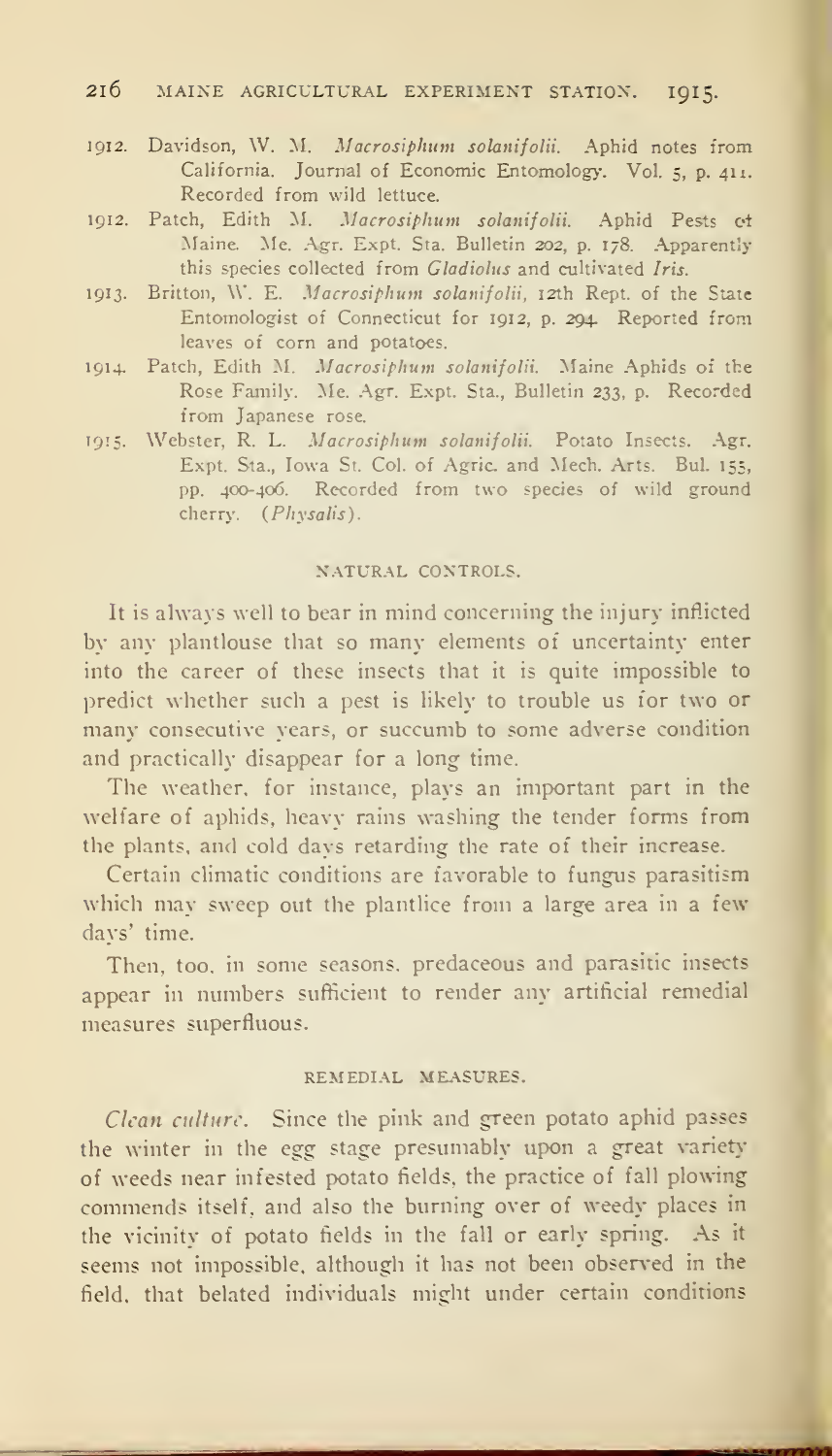- 1912. Davidson, W. M. Macrosiphum solanifolii. Aphid notes from California. Journal of Economic Entomology. Vol. 5, p. 411. Recorded from wild lettuce.
- 1912. Patch, Edith M. Macrosiphum solanifolii. Aphid Pests et Maine. Me. Agr. Expt. Sta. Bulletin 202, p. 178. Apparently this species collected from Gladiolus and cultivated Iris.
- 1913. Britton, W. E. Macrosiphum solanifolii, 12th Rept. of the State Entomologist of Connecticut for 1912, p. 294. Reported from leaves of corn and potatoes.
- 1914. Patch, Edith M. Macrosiphum solanifolii. Maine Aphids of the Rose Family. Me. Agr. Expt. Sta., Bulletin 233, p. Recorded from Japanese rose.
- 1915. Webster, R. L. Macrosiphum solanifolii. Potato Insects. Agr. Expt. Sta., Iowa St. Col. of Agric. and Mech. Arts. Bul. 155, pp. 400-406. Recorded from two species of wild ground cherry.  $(Physalis)$ .

#### NATURAL CONTROLS.

It is always well to bear in mind concerning the injury inflicted by any plantlouse that so many elements of uncertainty enter into the career of these insects that it is quite impossible to predict whether such a pest is likely to trouble us for two or many consecutive years, or succumb to some adverse condition and practically disappear for a long time.

The weather, for instance, plays an important part in the welfare of aphids, heavy rains washing the tender forms from the plants, and cold days retarding the rate of their increase.

Certain climatic conditions are favorable to fungus parasitism which may sweep out the plantlice from a large area in a few days' time.

Then, too, in some seasons, predaceous and parasitic insects appear in numbers sufficient to render any artificial remedial measures superfluous.

#### REMEDIAL MEASURES.

Clean culture. Since the pink and green potato aphid passes the winter in the egg stage presumably upon a great variety of weeds near infested potato fields, the practice of fall plowing commends itself, and also the burning over of weedy places in the vicinity of potato fields in the fall or early spring. As it seems not impossible, although it has not been observed in the field, that belated individuals might under certain conditions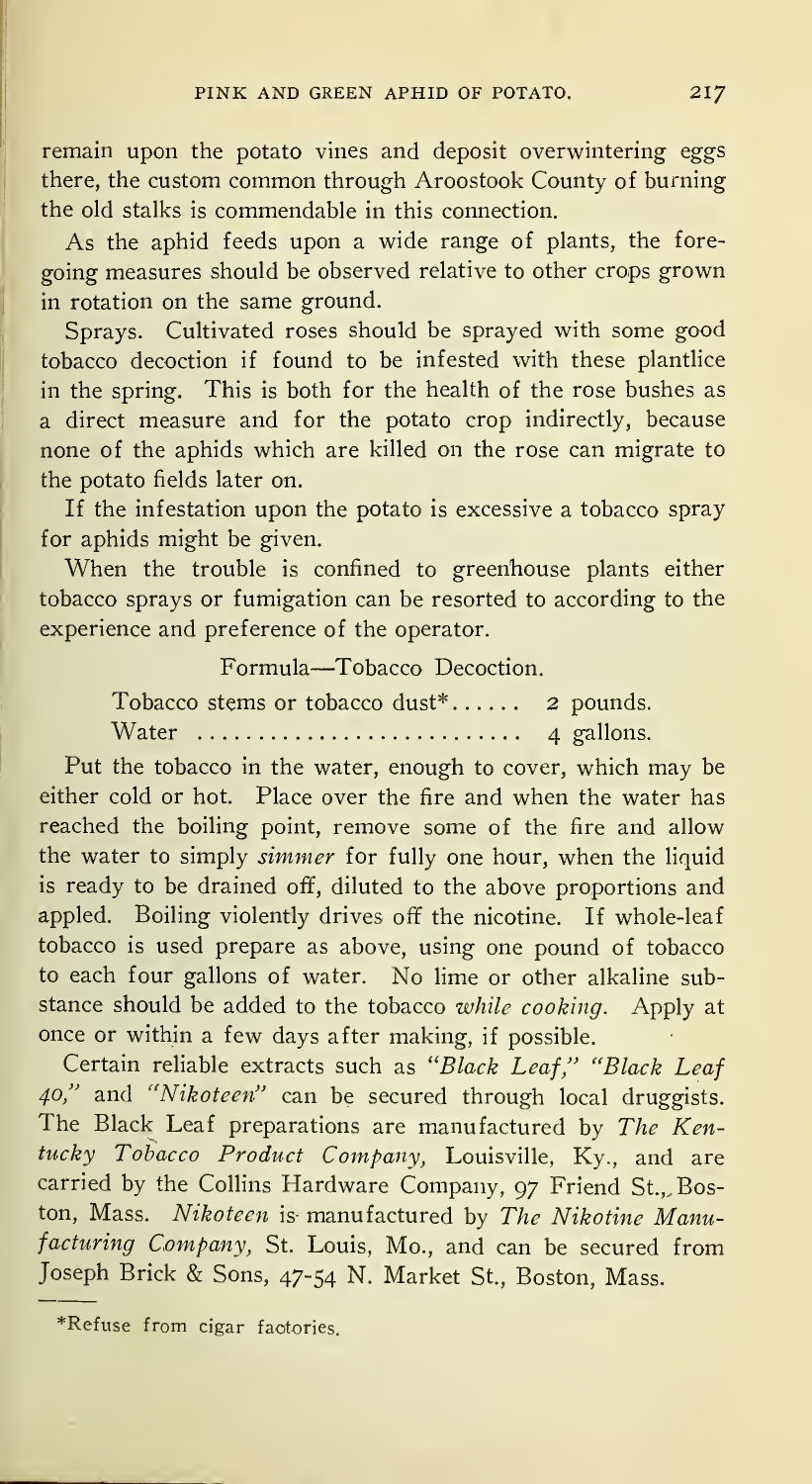remain upon the potato vines and deposit overwintering eggs there, the custom common through Aroostook County of burning the old stalks is commendable in this connection.

As the aphid feeds upon a wide range of plants, the foregoing measures should be observed relative to other crops grown in rotation on the same ground.

Sprays. Cultivated roses should be sprayed with some good tobacco decoction if found to be infested with these plantlice in the spring. This is both for the health of the rose bushes as a direct measure and for the potato crop indirectly, because none of the aphids which are killed on the rose can migrate to the potato fields later on.

If the infestation upon the potato is excessive a tobacco spray for aphids might be given.

When the trouble is confined to greenhouse plants either tobacco sprays or fumigation can be resorted to according to the experience and preference of the operator.

Formula—Tobacco Decoction.

Tobacco stems or tobacco dust\* 2 pounds.

Water 4 gallons.

Put the tobacco in the water, enough to cover, which may be either cold or hot. Place over the fire and when the water has reached the boiling point, remove some of the fire and allow the water to simply *simmer* for fully one hour, when the liquid is ready to be drained off, diluted to the above proportions and appled. Boiling violently drives off the nicotine. If whole-leaf tobacco is used prepare as above, using one pound of tobacco to each four gallons of water. No lime or other alkaline substance should be added to the tobacco while cooking. Apply at once or within a few days after making, if possible.

Certain reliable extracts such as "Black Leaf," "Black Leaf 40," and "Nikoteen" can be secured through local druggists. The Black Leaf preparations are manufactured by The Kentucky Tobacco Product Company, Louisville, Ky., and are carried by the Collins Hardware Company, 97 Friend St.,, Boston, Mass. Nikoteen is manufactured by The Nikotine Manufacturing Company, St. Louis, Mo., and can be secured from Joseph Brick & Sons, 47-54 N. Market St., Boston, Mass.

<sup>\*</sup>Refuse from cigar factories.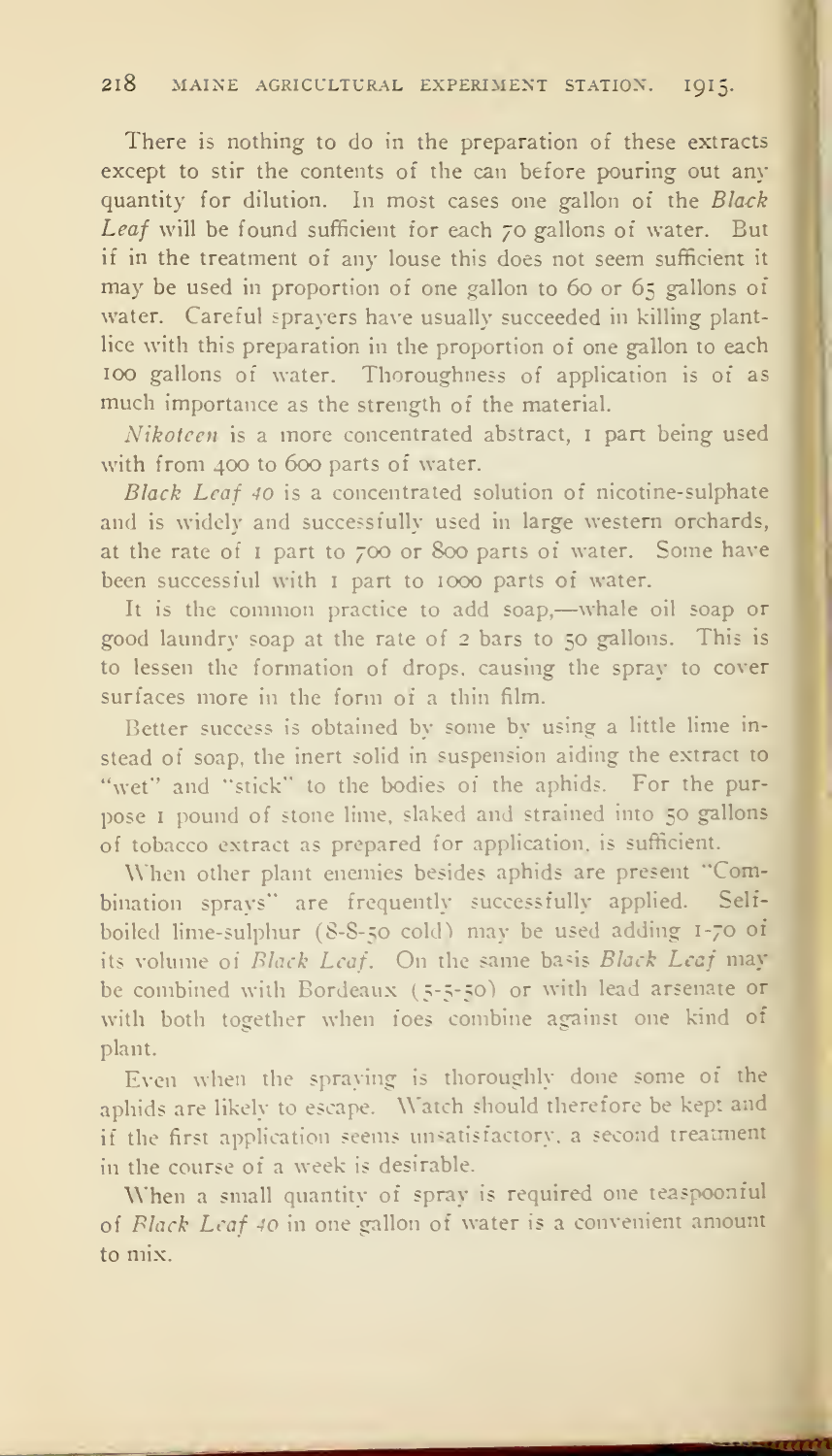There is nothing to do in the preparation of these extracts except to stir the contents of the can before pouring out any quantity for dilution. In most cases one gallon of the Black Leaf will be found sufficient for each 70 gallons of water. But if in the treatment of any louse this does not seem sufficient it may be used in proportion of one gallon to 60 or <sup>65</sup> gallons of water. Careful sprayers have usually succeeded in killing plantlice with this preparation in the proportion of one gallon to each 100 gallons of water. Thoroughness of application is of as much importance as the strength of the material.

Nikoteen is a more concentrated abstract, I part being used with from 400 to 600 parts of water.

Black Leaf 40 is a concentrated solution of nicotine-sulphate and is widely and successfully used in large western orchards, at the rate of <sup>i</sup> part to 700 or 800 parts of water. Some have been successful with <sup>i</sup> part to 1000 parts of water.

It is the common practice to add soap,—whale oil soap or good laundry soap at the rate of 2 bars to 50 gallons. This is to lessen the formation of drops, causing the spray to cover surfaces more in the form of a thin film.

Better success is obtained by some by using a little lime instead of soap, the inert solid in suspension aiding the extract to "wet" and "stick" to the bodies of the aphids. For the purpose <sup>I</sup> pound of stone lime, slaked and strained into 50 gallons of tobacco extract as prepared for application, is sufficient.

When other plant enemies besides aphids are present "Combination sprays" are frequently successfully applied. Selfboiled lime-sulphur (8-8-50 cold) may be used adding 1-70 of its volume of Black Leaf. On the same basis Black Leaf may be combined with Bordeaux (5-5-50) or with lead arsenate or with both together when foes combine against one kind of plant.

Even when the spraying is thoroughly done some of the aphids are likely to escape. Watch should therefore be kept and if the first application seems unsatisfactory, a second treatment in the course of <sup>a</sup> week is desirable.

When a small quantity of spray is required one teaspoonful of Black Leaf 40 in one gallon of water is a convenient amount to mix.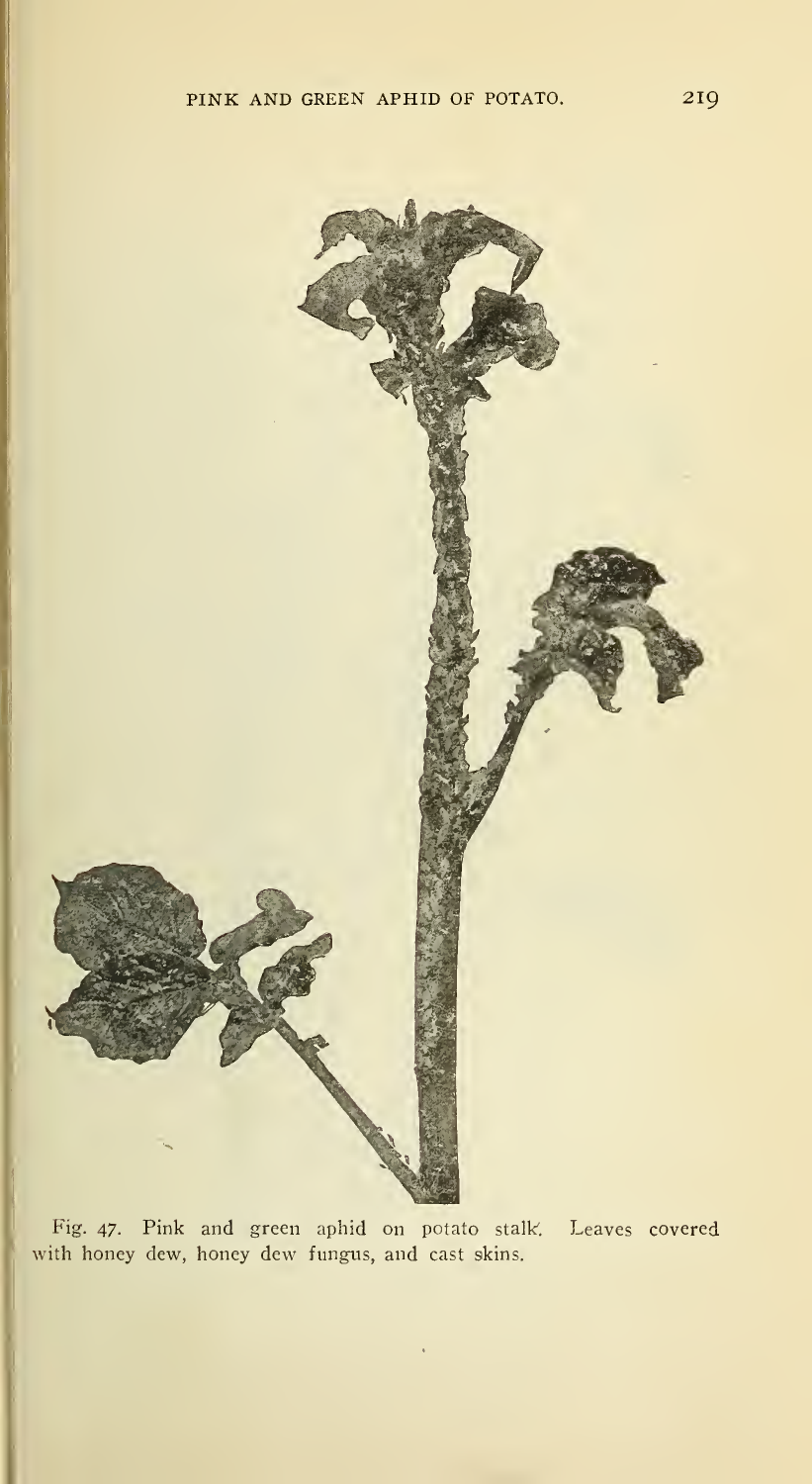

Fig. 47. Pink and green aphid on potato stalk. Leaves covered with honey dew, honey dew fungus, and cast skins.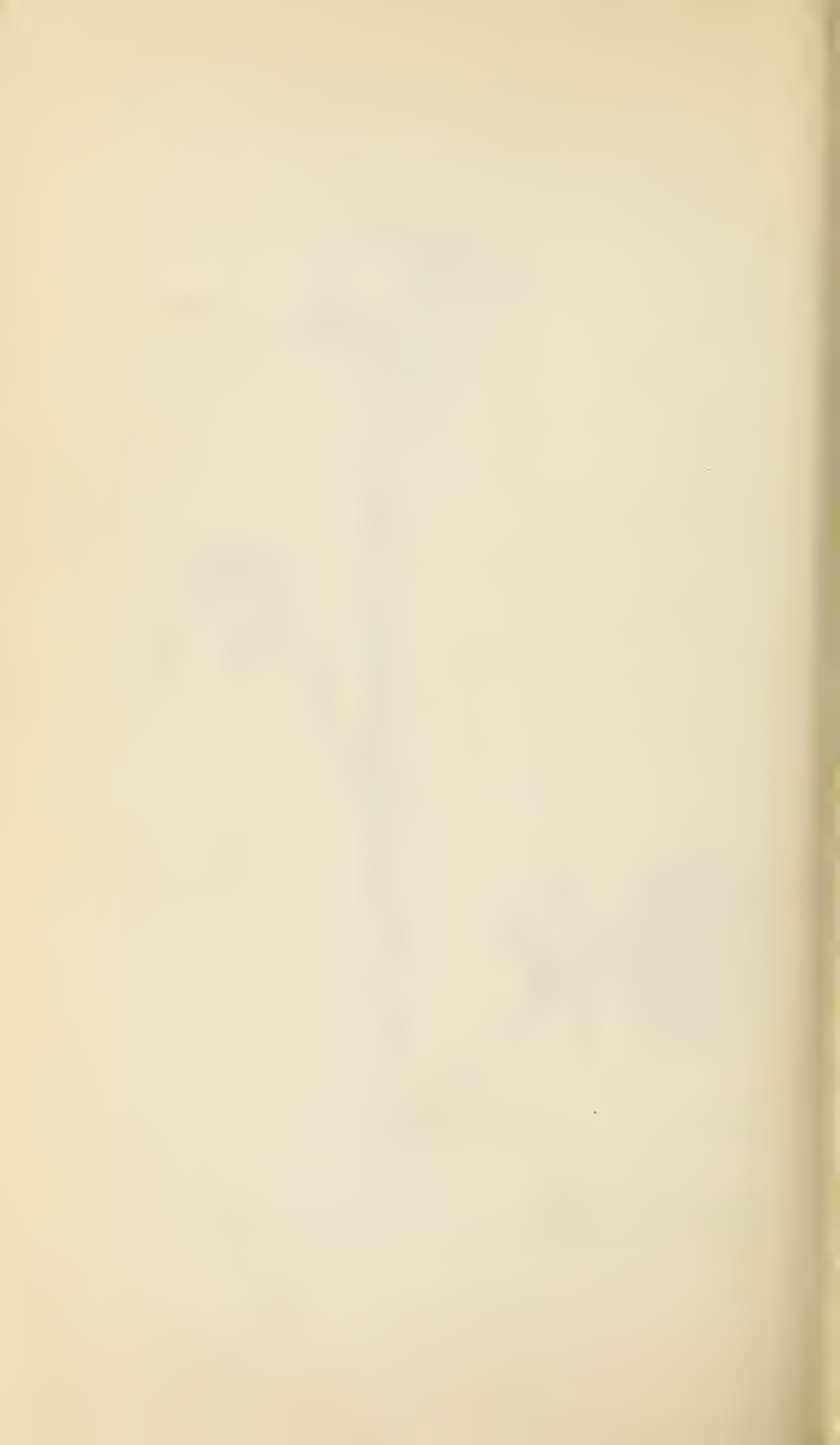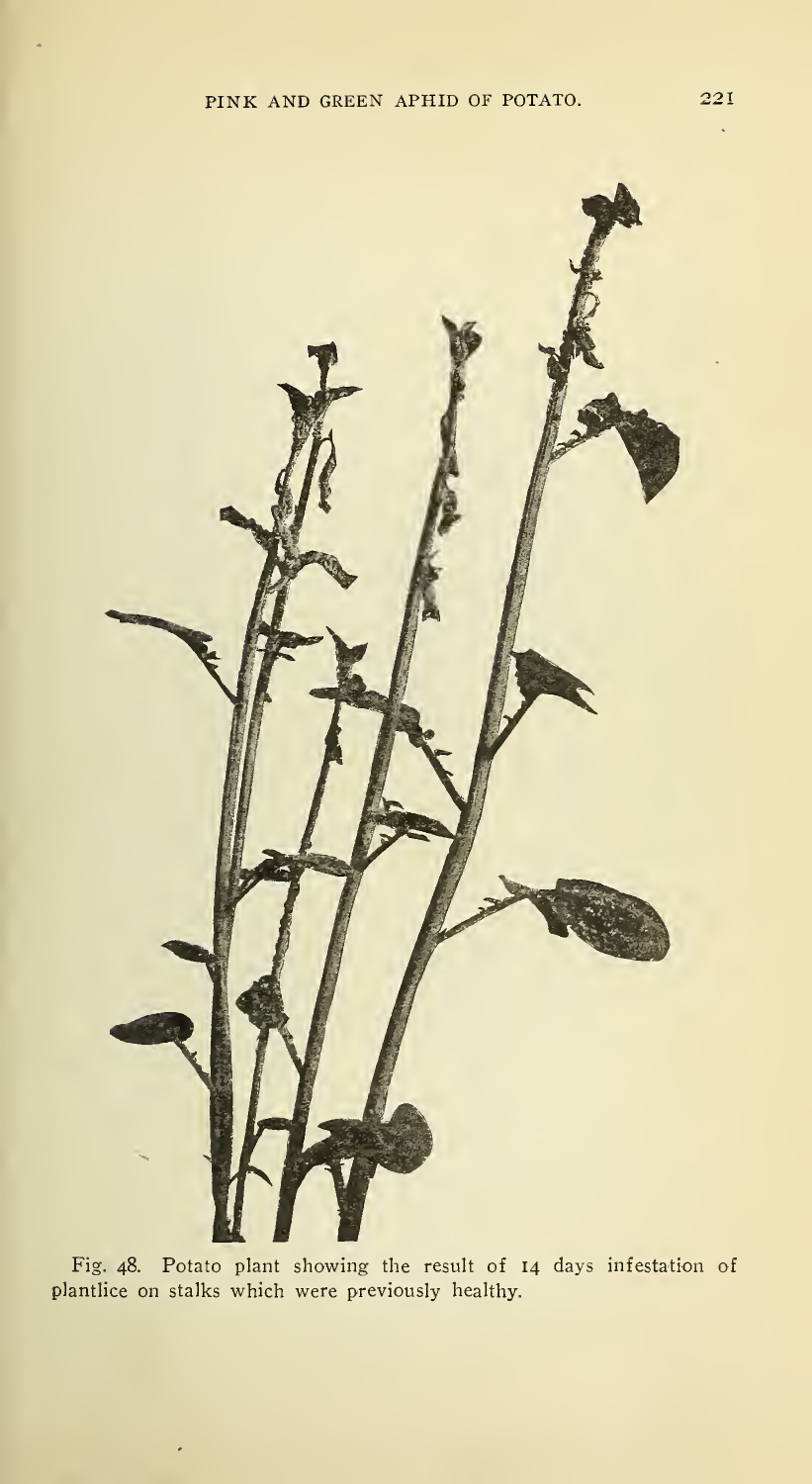

Fig. 48. Potato plant showing the result of 14 days infestation of plantlice on stalks which were previously healthy.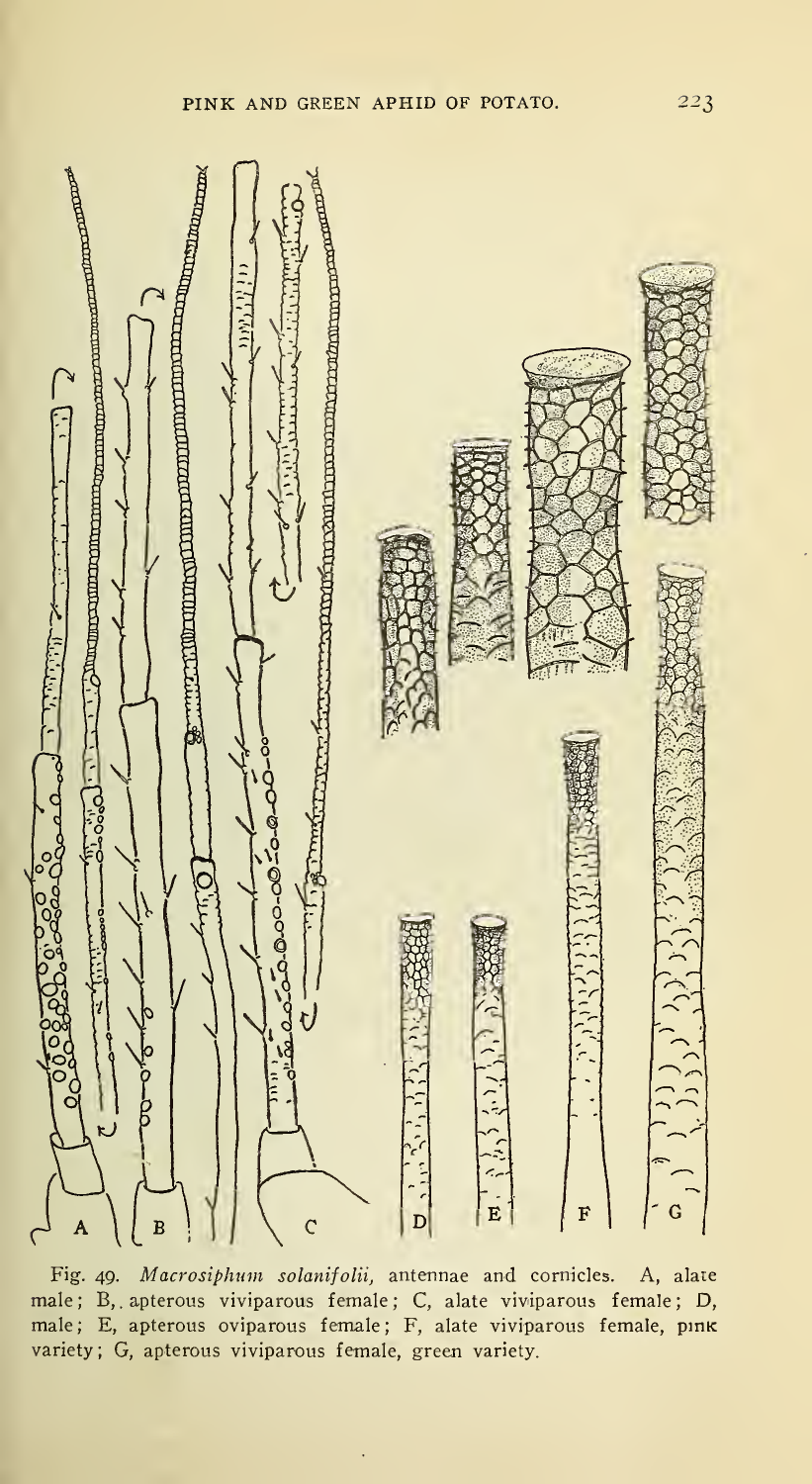



Fig. 49. Macrosiphum solanifolii, antennae and cornicles. A, alate male; B, .apterous viviparous female; C, alate viviparous female; D, male; E, apterous oviparous female; F, alate viviparous female, pink variety ; G, apterous viviparous female, green variety.